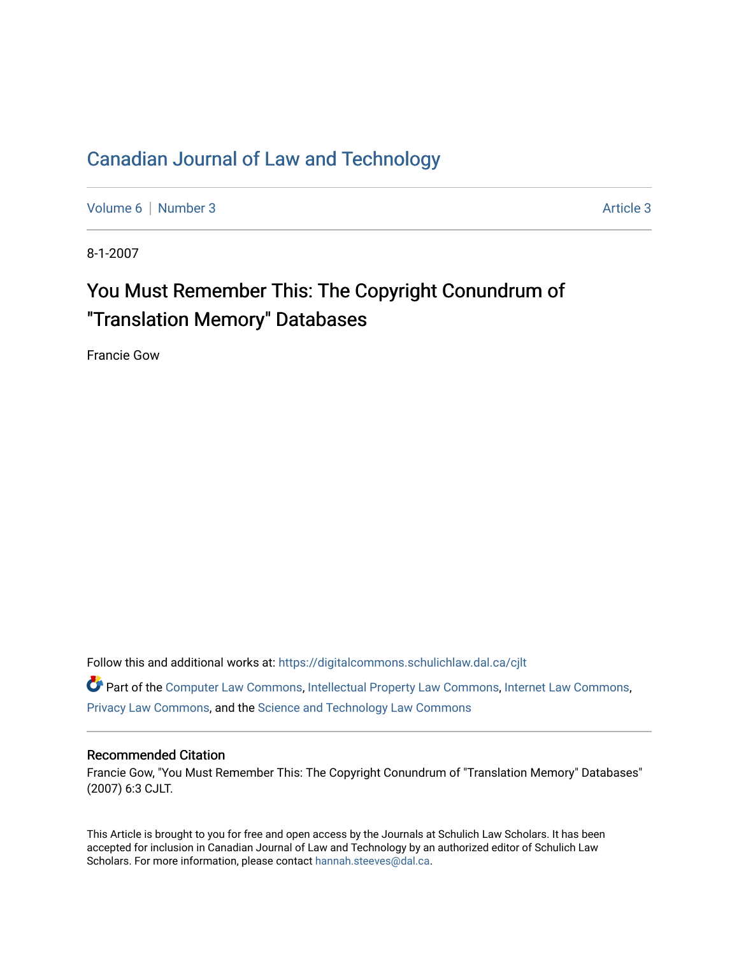## [Canadian Journal of Law and Technology](https://digitalcommons.schulichlaw.dal.ca/cjlt)

[Volume 6](https://digitalcommons.schulichlaw.dal.ca/cjlt/vol6) | [Number 3](https://digitalcommons.schulichlaw.dal.ca/cjlt/vol6/iss3) Article 3

8-1-2007

# You Must Remember This: The Copyright Conundrum of "Translation Memory" Databases

Francie Gow

Follow this and additional works at: [https://digitalcommons.schulichlaw.dal.ca/cjlt](https://digitalcommons.schulichlaw.dal.ca/cjlt?utm_source=digitalcommons.schulichlaw.dal.ca%2Fcjlt%2Fvol6%2Fiss3%2F3&utm_medium=PDF&utm_campaign=PDFCoverPages) 

Part of the [Computer Law Commons,](http://network.bepress.com/hgg/discipline/837?utm_source=digitalcommons.schulichlaw.dal.ca%2Fcjlt%2Fvol6%2Fiss3%2F3&utm_medium=PDF&utm_campaign=PDFCoverPages) [Intellectual Property Law Commons,](http://network.bepress.com/hgg/discipline/896?utm_source=digitalcommons.schulichlaw.dal.ca%2Fcjlt%2Fvol6%2Fiss3%2F3&utm_medium=PDF&utm_campaign=PDFCoverPages) [Internet Law Commons,](http://network.bepress.com/hgg/discipline/892?utm_source=digitalcommons.schulichlaw.dal.ca%2Fcjlt%2Fvol6%2Fiss3%2F3&utm_medium=PDF&utm_campaign=PDFCoverPages) [Privacy Law Commons,](http://network.bepress.com/hgg/discipline/1234?utm_source=digitalcommons.schulichlaw.dal.ca%2Fcjlt%2Fvol6%2Fiss3%2F3&utm_medium=PDF&utm_campaign=PDFCoverPages) and the [Science and Technology Law Commons](http://network.bepress.com/hgg/discipline/875?utm_source=digitalcommons.schulichlaw.dal.ca%2Fcjlt%2Fvol6%2Fiss3%2F3&utm_medium=PDF&utm_campaign=PDFCoverPages) 

### Recommended Citation

Francie Gow, "You Must Remember This: The Copyright Conundrum of "Translation Memory" Databases" (2007) 6:3 CJLT.

This Article is brought to you for free and open access by the Journals at Schulich Law Scholars. It has been accepted for inclusion in Canadian Journal of Law and Technology by an authorized editor of Schulich Law Scholars. For more information, please contact [hannah.steeves@dal.ca](mailto:hannah.steeves@dal.ca).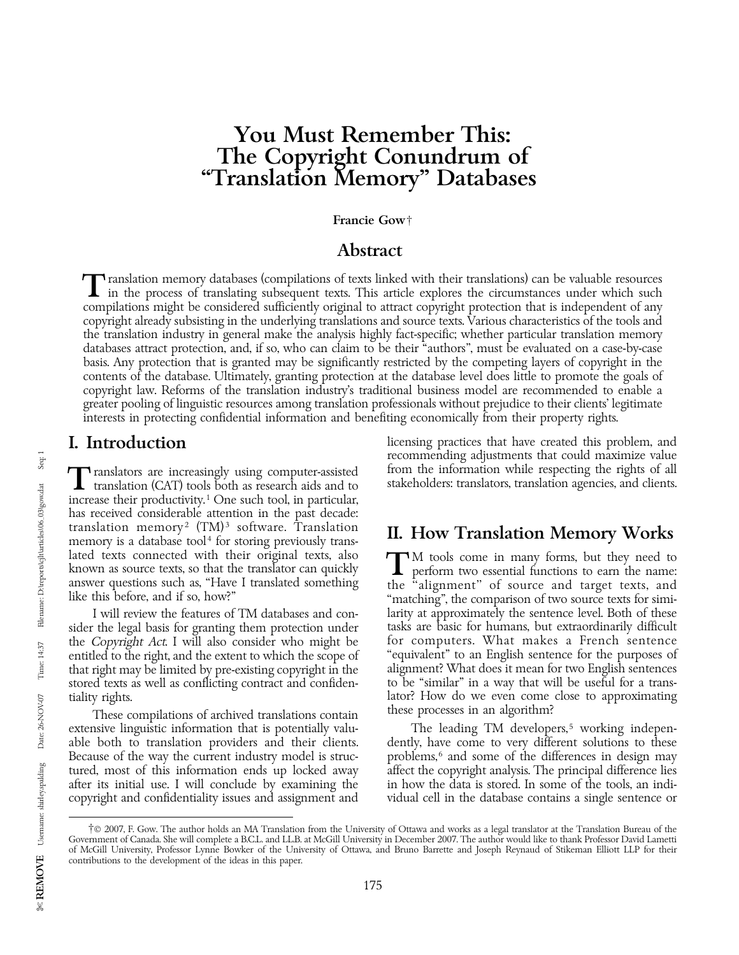## You Must Remember This: The Copyright Conundrum of ''Translation Memory'' Databases

Francie Gow†

## Abstract

 $\Gamma$  ranslation memory databases (compilations of texts linked with their translations) can be valuable resources in the process of translating subsequent texts. This article explores the circumstances under which such compilations might be considered sufficiently original to attract copyright protection that is independent of any copyright already subsisting in the underlying translations and source texts. Various characteristics of the tools and the translation industry in general make the analysis highly fact-specific; whether particular translation memory databases attract protection, and, if so, who can claim to be their ''authors'', must be evaluated on a case-by-case basis. Any protection that is granted may be significantly restricted by the competing layers of copyright in the contents of the database. Ultimately, granting protection at the database level does little to promote the goals of copyright law. Reforms of the translation industry's traditional business model are recommended to enable a greater pooling of linguistic resources among translation professionals without prejudice to their clients' legitimate interests in protecting confidential information and benefiting economically from their property rights.

**f**ranslators are increasingly using computer-assisted trom the information while respecting the rights of all translation (CAT) tools both as research aids and to stakeholders: translators, translation agencies, and clien increase their productivity. 1 One such tool, in particular, has received considerable attention in the past decade:<br>translation memory<sup>2</sup> (TM)<sup>3</sup> software. Translation translation memory<sup>2</sup> (TM)<sup>3</sup> software. Translation<br>memory is a database tool<sup>4</sup> for storing previously trans-<br>lated texts connected with their original texts, also  $\Box$  M tools come in many forms, but they need to

stored texts as well as conflicting contract and confiden-

These compilations of archived translations contain these processes in an algorithm?<br> The leading TM developers,<sup>5</sup> working indepen-Because of the way the current industry model is struc-<br>tured, most of this information ends up locked away

I. Introduction licensing practices that have created this problem, and recommending adjustments that could maximize value<br>from the information while respecting the rights of all

lated texts connected with their original texts, also known as source texts, so that the translator can quickly<br>answer questions such as, "Have I translated something the "alignment" of source and target texts, and<br>like th I will review the features of TM databases and con-<br>
I arity at approximately the sentence level. Both of these<br>
tasks are basic for humans, but extraordinarily difficult sider the legal basis for granting them protection under tasks are basic for humans, but extraordinarily difficult<br>the *Copyright Act*. I will also consider who might be for computers. What makes a French sentence the Copyright Act. I will also consider who might be for computers. What makes a French sentence entitled to the right, and the extent to which the scope of "equivalent" to an English sentence for the purposes of entitled to the right, and the extent to which the scope of "equivalent" to an English sentence for the purposes of that right may be limited by pre-existing copyright in the alignment? What does it mean for two English se that right may be limited by pre-existing copyright in the alignment? What does it mean for two English sentences stored texts as well as conflicting contract and confiden-<br>to be "similar" in a way that will be useful for tiality rights.<br>
These compilations of archived translations contain<br>
these processes in an algorithm?

extensive linguistic information that is potentially valu-<br>able both to translation providers and their clients. dently, have come to very different solutions to these able both to translation providers and their clients. dently, have come to very different solutions to these<br>Because of the way the current industry model is struc-<br>problems,<sup>6</sup> and some of the differences in design may tured, most of this information ends up locked away affect the copyright analysis. The principal difference lies<br>after its initial use. I will conclude by examining the in how the data is stored. In some of the tools, an i in how the data is stored. In some of the tools, an indicopyright and confidentiality issues and assignment and vidual cell in the database contains a single sentence or

<sup>†</sup>© 2007, F. Gow. The author holds an MA Translation from the University of Ottawa and works as a legal translator at the Translation Bureau of the Government of Canada. She will complete a B.C.L. and LL.B. at McGill University in December 2007. The author would like to thank Professor David Lametti of McGill University, Professor Lynne Bowker of the University of Ottawa, and Bruno Barrette and Joseph Reynaud of Stikeman Elliott LLP for their contributions to the development of the ideas in this paper.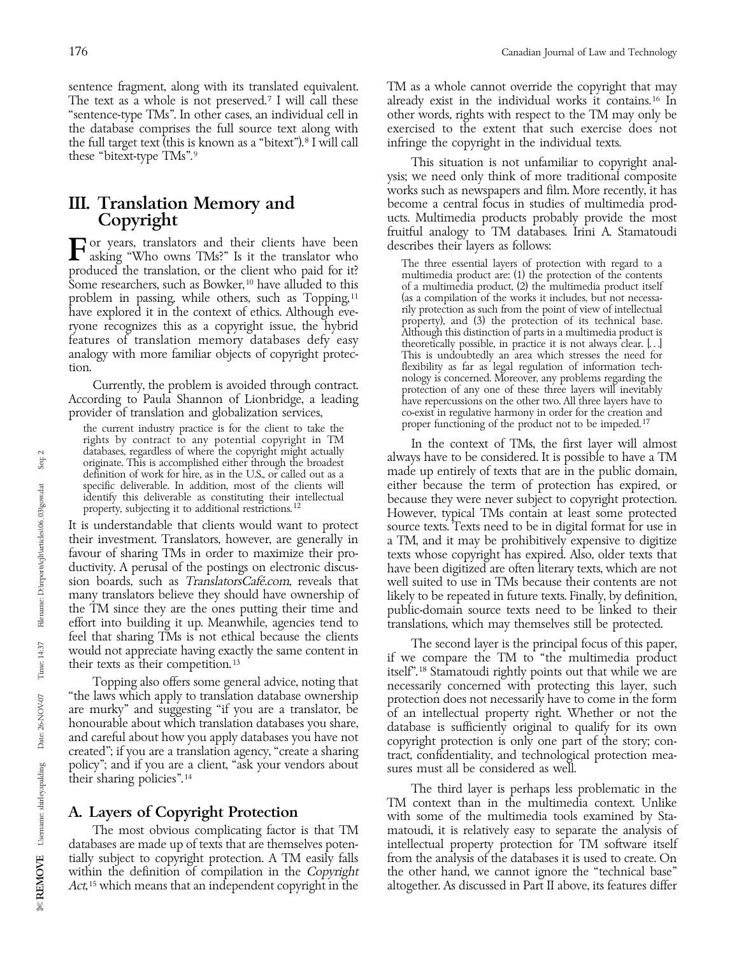sentence fragment, along with its translated equivalent. TM as a whole cannot override the copyright that may The text as a whole is not preserved.<sup>7</sup> I will call these already exist in the individual works it contains.<sup>16</sup> In "sentence-type TMs". In other cases, an individual cell in other words, rights with respect to the TM may the database comprises the full source text along with the full target text (this is known as a ''bitext''). 8 I will call infringe the copyright in the individual texts. these "bitext-type TMs".<sup>9</sup>

The three search of the works it includes the searches the content of a multimedia product are (1) the produced the translation, or the client who paid for it?<br>
Some researchers, such as Bowker,<sup>10</sup> have alluded to this pr problem in passing, while others, such as Topping, <sup>11</sup> (as a compilation of the works it includes, but not necessa-<br>have explored it in the context of ethics. Although eve-<br>ily protection as such from the point of view of have explored it in the context of ethics. Although eve-<br>rily protection as such from the point of view of intellectual<br>property), and (3) the protection of its technical base. ryone recognizes this as a copyright issue, the hybrid<br>features of translation memory databases defy easy<br>analogy with more familiar objects of copyright protectors of the metally possible, in practice it is not always cle analogy with more familiar objects of copyright protec-

provider of translation and globalization services, co-exist in regulative harmony in order for the creation and

rights by contract to any potential copyright in TM In the context of TMs, the first layer will almost databases, regardless of where the copyright might actually always have to be considered. It is possible to have a TM o originate. This is accomplished either through the broadest definition of work for hire, as in the U.S., or called out as a

It is understandable that clients would want to protect source texts. Texts need to be in digital format for use in<br>their investment. Translators, however, are generally in a TM, and it may be prohibitively expensive to di the TM since they are the ones putting their time and public-domain source texts need to be linked to their effort into building it up. Meanwhile, agencies tend to translations, which may themselves still be protected.<br>
For example, the second layer is the protected for the filth and

their sharing policies''. <sup>14</sup>

databases are made up of texts that are themselves poten-<br>
tially subject to copyright protection. A TM easily falls from the analysis of the databases it is used to create. On tially subject to copyright protection. A TM easily falls within the definition of compilation in the *Copyright* the other hand, we cannot ignore the "technical base" Act,<sup>15</sup> which means that an independent copyright in the

other words, rights with respect to the TM may only be exercised to the extent that such exercise does not

This situation is not unfamiliar to copyright analysis; we need only think of more traditional composite works such as newspapers and film. More recently, it has III. Translation Memory and become a central focus in studies of multimedia prod-<br>Copyright the most studies of multimedia products probably provide the most ucts. Multimedia products probably provide the most<br>fruitful analogy to TM databases. Irini A. Stamatoudi

tion. flexibility as far as legal regulation of information tech-<br>Comparison the angle of three changes is concerned. Moreover, any problems regarding the Currently, the problem is avoided through contract. The protection of any one of these three layers will inevitably<br>According to Paula Shannon of Lionbridge, a leading have repercussions on the other two. All three layers the current industry practice is for the client to take the proper functioning of the product not to be impeded.<sup>17</sup>

definition of work for hire, as in the U.S., or called out as a made up entirely of texts that are in the public domain, specific deliverable. In addition, most of the clients will either because the term of protection has either because the term of protection has expired, or identify this deliverable as constituting their intellectual<br>property, subjecting it to additional restrictions.<sup>12</sup> because they were never subject to copyright protection.<br>It is understandable that clients would want to a TM, and it may be prohibitively expensive to digitize favour of sharing TMs in order to maximize their pro- texts whose copyright has expired. Also, older texts that ductivity. A perusal of the postings on electronic discus-have been digitized are often literary texts, which are not<br>sion boards, such as *TranslatorsCafé.com*, reveals that well suited to use in TMs because their content sion boards, such as *TranslatorsCafé.com*, reveals that well suited to use in TMs because their contents are not<br>many translators believe they should have ownership of likely to be repeated in future texts. Finally, by de likely to be repeated in future texts. Finally, by definition,

would not appreciate having exactly the same content in<br>their texts as their competition.<sup>13</sup> itself".<sup>18</sup> Stamatoudi rightly points out that while we are Topping also offers some general advice, noting that<br>
"the laws which apply to translation database ownership"<br>
"the laws which apply to translation database ownership"<br>
are murky" and suggesting "if you are a translator,

The third layer is perhaps less problematic in the **THE CONSET CONSET CONSET CONTRACTER A. Layers of Copyright Protection** with some of the multimedia tools examined by Sta-<br>The most obvious complicating factor is that TM matoudi, it is relatively easy to separate the anal matoudi, it is relatively easy to separate the analysis of intellectual property protection for TM software itself altogether. As discussed in Part II above, its features differ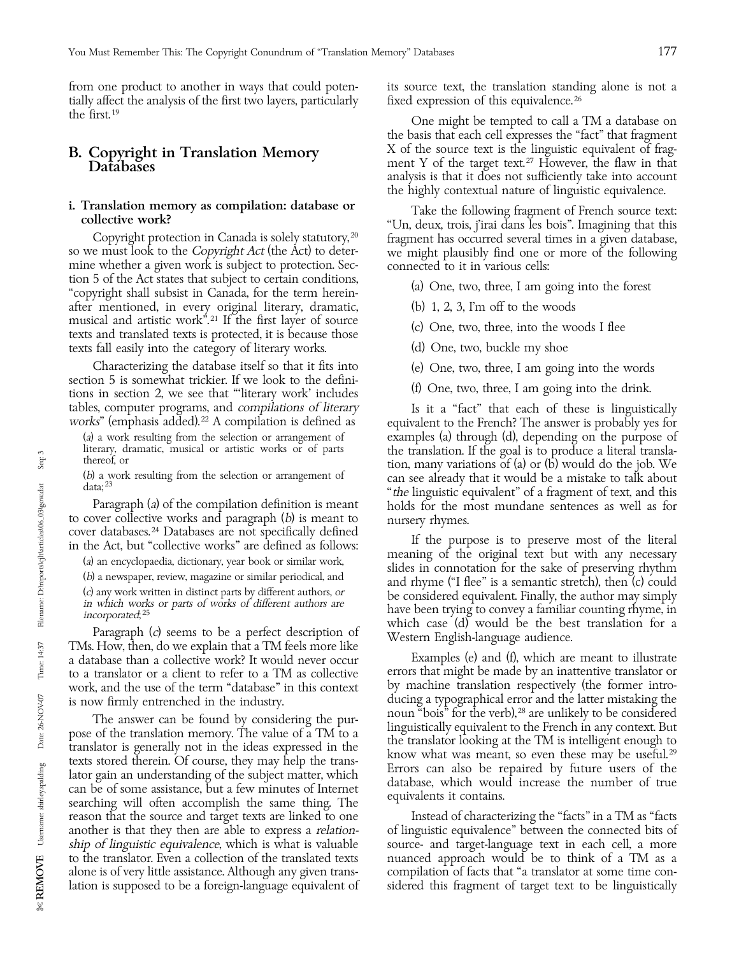from one product to another in ways that could poten- its source text, the translation standing alone is not a tially affect the analysis of the first two layers, particularly fixed expression of this equivalence.<sup>26</sup> the first. <sup>19</sup>

so we must look to the Copyright Act (the Act) to determine whether a given work is subject to protection. Sec-<br>tion 5 of the Act states that subject to certain conditions, tion 5 of the Act states that subject to certain conditions, (a) One, two, three, I am going into the forest ''copyright shall subsist in Canada, for the term hereinafter mentioned, in every original literary, dramatic, (b) 1, 2, 3, I'm off to the woods<br>musical and artistic work".<sup>21</sup> If the first layer of source musical and artistic work'. If the first layer of source (c) One, two, three, into the woods I flee texts and translated texts is protected, it is because those (d) One, two, buckle my shoe (d) One, two, buckle my shoe texts fall easily into the category of literary works.

Characterizing the database itself so that it fits into (e) One, two, three, I am going into the words section 5 is somewhat trickier. If we look to the definitions in section 2, we see that "literary work' includes (f) On tables, computer programs, and *compilations of literary* Is it a "fact" that each of these is linguistically works" (emphasis added).<sup>22</sup> A compilation is defined as equivalent to the French? The answer is probably yes fo

Paragraph (c) seems to be a perfect description of Western English-language audience.<br>TMs. How, then, do we explain that a TM feels more like a database than a collective work? It would never occur Examples (e) and (f), wh a database than a collective work? It would never occur work, and the use of the term "database" in this context is now firmly entrenched in the industry.

Later stored therein. Or course, they may help the trans-<br>Later gain an understanding of the subject matter, which<br>can be of some assistance, but a few minutes of Internet<br>searching will often accomplish the same thing. Th reason that the source and target texts are linked to one to the translator. Even a collection of the translated texts

One might be tempted to call a TM a database on the basis that each cell expresses the ''fact'' that fragment **B. Copyright in Translation Memory**  $X$  of the source text is the linguistic equivalent of frag-<br>Databases ment Y of the target text.<sup>27</sup> However, the flaw in that ment Y of the target text.<sup>27</sup> However, the flaw in that analysis is that it does not sufficiently take into account the highly contextual nature of linguistic equivalence.

**i. Translation memory as compilation: database or** Take the following fragment of French source text:<br> **Collective work?** "Un, deux, trois, j'irai dans les bois". Imagining that this<br>
Copyright protection in Canada is so fragment has occurred several times in a given database, we might plausibly find one or more of the following

vrks" (emphasis added).<sup>22</sup> A compilation is defined as equivalent to the French? The answer is probably yes for<br>(a) a work resulting from the selection or arrangement of examples (a) through (d), depending on the purpose (a) a work resulting from the selection or arrangement of examples (a) through (d), depending on the purpose of literary, dramatic, musical or artistic works or of parts the translation. If the goal is to produce a literal thereof, or<br>
(b) a work resulting from the selection or arrangement of<br>  $\frac{1}{2}$  (b) a work resulting from the selection or arrangement of<br>  $\frac{1}{2}$  (b) a work resulting from the selection or arrangement of<br>  $\frac{1}{2}$  ( Paragraph (a) of the compilation definition is meant holds for the most mundane sentences as well as for to cover collective works and paragraph (b) is meant to nursery rhymes.

to cover collective works and paragraph (b) is meant to<br>
in the Act, but "collective works" are defined in the Act, but "collective works" are defined as follows:<br>
(a) an encyclopaedia, dictionary, year book or similar wo

to a translator or a client to refer to a TM as collective errors that might be made by an inattentive translator or<br>work, and the use of the term "database" in this context by machine translation respectively (the former ducing a typographical error and the latter mistaking the noun "bois" for the verb),<sup>28</sup> are unlikely to be considered The answer can be found by considering the pur-<br>pose of the translation memory. The value of a TM to a<br>translator is generally not in the ideas expressed in the<br>texts stored therein. Of course, they may help the trans-<br>Exp

another is that they then are able to express a *relation*- of linguistic equivalence" between the connected bits of ship of linguistic equivalence, which is what is valuable source- and target-language text in each cell, ship of linguistic equivalence, which is what is valuable source- and target-language text in each cell, a more<br>to the translator. Even a collection of the translated texts unanced approach would be to think of a TM as a alone is of very little assistance. Although any given trans- compilation of facts that ''a translator at some time conlation is supposed to be a foreign-language equivalent of sidered this fragment of target text to be linguistically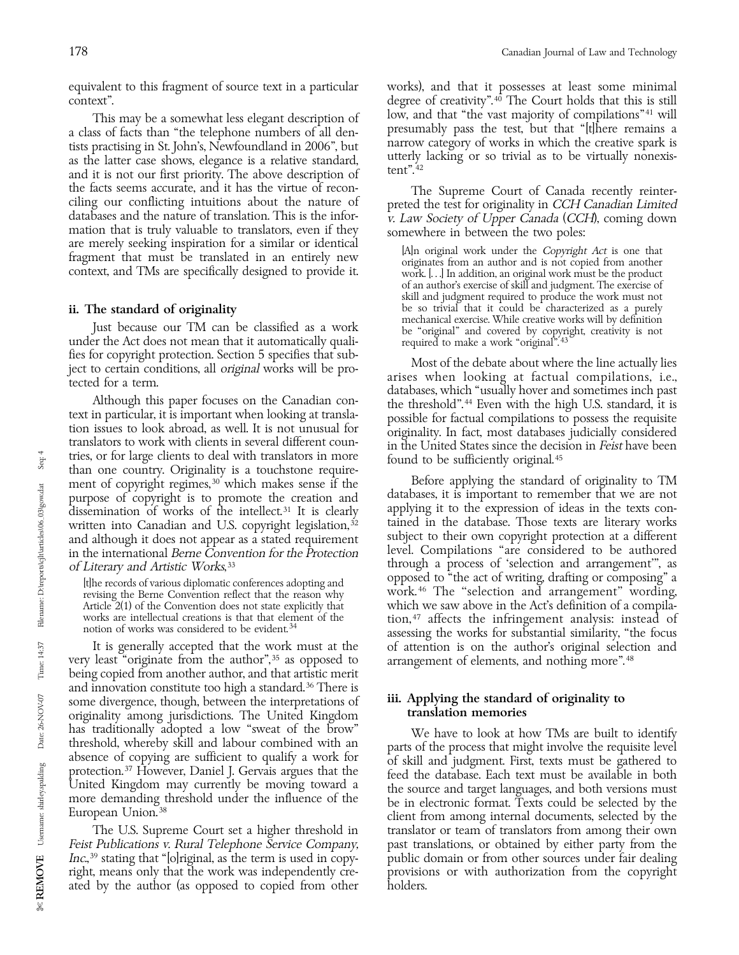This may be a somewhat less elegant description of<br>a class of facts than "the telephone numbers of all den-<br>tists practising in St. John's, Newfoundland in 2006", but<br>as the latter case shows, elegance is a relative standa the facts seems accurate, and it has the virtue of recon-<br>
ciling our conflicting intuitions about the nature of<br>
databases and the nature of translation. This is the infor-<br>
v. Law Society of Upper Canada (CCH), coming do mation that is truly valuable to translators, even if they<br>are merely seeking inspiration for a similar or identical<br>fragment that must be translated in an entirely new<br>context, and TMs are specifically designed to provide

Just because our TM can be classified as a work be "original" and covered by copyright, creativity is not reduced by copyright, creativity is not required to make a work "original".<sup>43</sup> under the Act does not mean that it automatically quali-<br>fies for copyright protection. Section 5 specifies that sub-

than one country. Originality is a touchstone requirement of copyright regimes,<sup>30</sup> which makes sense if the Before applying the standard of originality to TM<br>nurnose of convright is to promote the creation and databases, it is important to remember that we are not purpose of copyright is to promote the creation and databases, it is important to remember that we are not dissemination of works of the intellect.<sup>31</sup> It is clearly applying it to the expression of ideas in the texts conwritten into Canadian and U.S. copyright legislation,<sup>32</sup> tained in the database. Those texts are literary works<br>and although it does not appear as a stated requirement subject to their own copyright protection at a differ and although it does not appear as a stated requirement subject to their own copyright protection at a different<br>in the international *Berne Convention for the Protection* level. Compilations "are considered to be authored in the international Berne Convention for the Protection of Literary and Artistic Works, 33

very least "originate from the author",<sup>35</sup> as opposed to arrangement of elements, and nothing more".<sup>48</sup> being copied from another author, and that artistic merit and innovation constitute too high a standard. 36 There is some divergence, though, between the interpretations of **iii. Applying the standard of originality to** originality among jurisdictions. The United Kingdom **translation memories** originality among jurisdictions. The United Kingdom<br>has traditionally adopted a low "sweat of the brow"

ated by the author (as opposed to copied from other holders.

equivalent to this fragment of source text in a particular works), and that it possesses at least some minimal context".  $\qquad \qquad \qquad$  degree of creativity".<sup>40</sup> The Court holds that this is still

of an author's exercise of skill and judgment. The exercise of skill and judgment required to produce the work must not ii. The standard of originality<br>  $\begin{array}{ccc}\n\bullet & \bullet & \bullet & \bullet \\
\bullet & \bullet & \bullet & \bullet \\
\bullet & \bullet & \bullet & \bullet\n\end{array}$  be so trivial that it could be characterized as a purely<br>
mechanical exercise. While creative works will by definition

dies to copyright protection. Section 5 specifies that sub-<br>ject to certain conditions, all original works will be pro-<br>tected for a term.<br>Although this paper focuses on the Canadian con-<br>text in particular, it is importan

dissemination of works of the intellect.<sup>31</sup> It is clearly applying it to the expression of ideas in the texts con-<br>written into Canadian and U.S. copyright legislation.<sup>32</sup> tained in the database. Those texts are literar through a process of 'selection and arrangement'", as opposed to "the act of writing, drafting or composing" a It he records of various diplomatic conferences adopting and<br>
revising the Berne Convention reflect that the reason why<br>
Article 2(1) of the Convention does not state explicitly that which we saw above in the Act's definit which we saw above in the Act's definition of a compilaworks are intellectual creations is that that element of the tion,<sup>47</sup> affects the infringement analysis: instead of assessing the works for substantial similarity, "the focus It is generally accepted that the work must at of attention is on the author's original selection and

has traditionally adopted a low "sweat of the brow"<br>threshold, whereby skill and labour combined with an<br>absence of copying are sufficient to qualify a work for<br>protection.<sup>37</sup> However, Daniel J. Gervais argues that the<br>Un The U.S. Supreme Court set a higher threshold in translator or team of translators from among their own<br>the Publications v. Rural Telephone Service Company, past translations, or obtained by either party from the Feist Publications v. Rural Telephone Service Company, past translations, or obtained by either party from the Inc.,<sup>39</sup> stating that "[o] riginal, as the term is used in copy-<br>public domain or from other sources under fai Inc., 39 stating that ''[o]riginal, as the term is used in copy- public domain or from other sources under fair dealing right, means only that the work was independently cre- provisions or with authorization from the copyright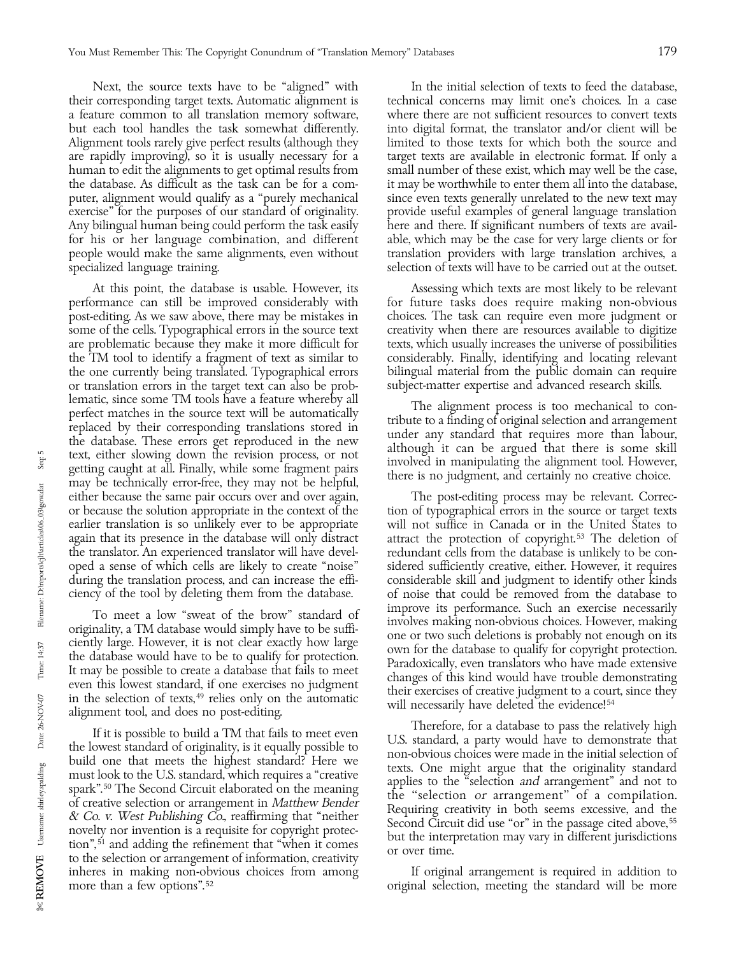their corresponding target texts. Automatic alignment is technical concerns may limit one's choices. In a case a feature common to all translation memory software, where there are not sufficient resources to convert texts but each tool handles the task somewhat differently. into digital format, the translator and/or client will be Alignment tools rarely give perfect results (although they limited to those texts for which both the source and are rapidly improving), so it is usually necessary for a target texts are available in electronic format. If only a human to edit the alignments to get optimal results from small number of these exist, which may well be the case, the database. As difficult as the task can be for a com- it may be worthwhile to enter them all into the database, puter, alignment would qualify as a ''purely mechanical since even texts generally unrelated to the new text may exercise'' for the purposes of our standard of originality. provide useful examples of general language translation Any bilingual human being could perform the task easily here and there. If significant numbers of texts are availfor his or her language combination, and different able, which may be the case for very large clients or for people would make the same alignments, even without

performance can still be improved considerably with for future tasks does require making non-obvious post-editing. As we saw above, there may be mistakes in choices. The task can require even more judgment or some of the cells. Typographical errors in the source text creativity when there are resources available to digiti some of the cells. Typographical errors in the source text creativity when there are resources available to digitize are problematic because they make it more difficult for texts, which usually increases the universe of po are problematic because they make it more difficult for the TM tool to identify a fragment of text as similar to considerably. Finally, identifying and locating relevant the one currently being translated. Typographical errors bilingual material from the public domain can require or translation errors in the target text can also be prob- subject-matter expertise and advanced research skills. ematic, since some TM tools have a feature whereby all<br>perfect matches in the source text will be automatically<br>replaced by their corresponding translations stored in<br>the database. These errors get reproduced in the new<br>te either because the same pair occurs over and over again, The post-editing process may be relevant. Correc-<br>or because the solution appropriate in the context of the tion of typographical errors in the source or target text or because the solution appropriate in the context of the earlier translation is so unlikely ever to be appropriate will not suffice in Canada or in the United States to the translator. An experienced translator will have devel- redundant cells from the database is unlikely to be conoped a sense of which cells are likely to create ''noise'' sidered sufficiently creative, either. However, it requires during the translation process, and can increase the effi- considerable skill and judgment to identify other kinds

alignment tool, and does no post-editing.

a Co. v. west Thomstop Co., really that the neutrement of the second Circuit did use "or" in the passage cited above,<sup>55</sup><br>tion",<sup>51</sup> and adding the refinement that "when it comes to the selection or arrangement of informat

Next, the source texts have to be "aligned" with In the initial selection of texts to feed the database, specialized language training. selection of texts will have to be carried out at the outset.

At this point, the database is usable. However, its Assessing which texts are most likely to be relevant

again that its presence in the database will only distract attract the protection of copyright.<sup>53</sup> The deletion of ciency of the tool by deleting them from the database. of noise that could be removed from the database to To meet a low "sweat of the brow" standard of<br>originality, a TM database would simply have to be suffi-<br>ciently large. However, it is not clear exactly how large<br>the database would have to be to qualify for protection.<br>It

If it is possible to build a TM that fails to meet even<br>the lowest standard of originality, is it equally possible to<br>build one that meets the highest standard? Here we<br>build one that meets the highest standard? Here we<br>m

inheres in making non-obvious choices from among The original arrangement is required in addition to more than a few options".<sup>52</sup> original selection, meeting the standard will be more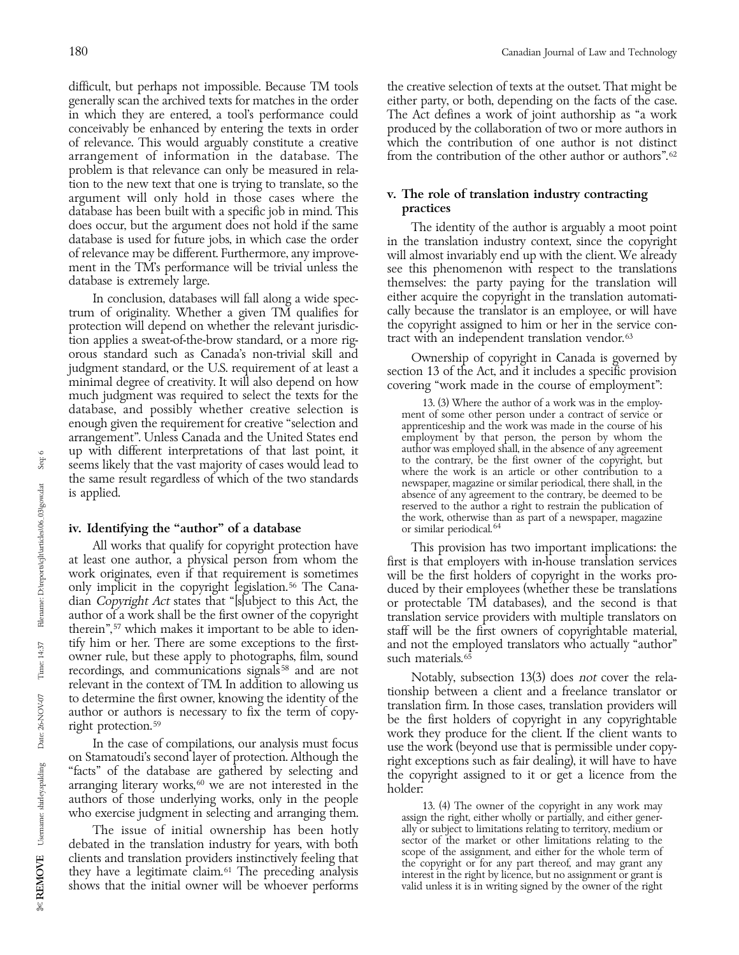difficult, but perhaps not impossible. Because TM tools the creative selection of texts at the outset. That might be generally scan the archived texts for matches in the order either party, or both, depending on the facts of the case. in which they are entered, a tool's performance could The Act defines a work of joint authorship as "a work conceivably be enhanced by entering the texts in order produced by the collaboration of two or more authors in conceivably be enhanced by entering the texts in order of relevance. This would arguably constitute a creative which the contribution of one author is not distinct arrangement of information in the database. The from the contribution of the other author or authors".<sup>62</sup> problem is that relevance can only be measured in relation to the new text that one is trying to translate, so the<br>argument will only hold in those cases where the v. The role of translation industry contracting<br>database has been built with a specific job in mind. This practi does occur, but the argument does not hold if the same The identity of the author is arguably a moot point database is used for future jobs, in which case the order in the translation industry context, since the copyright

trum of originality. Whether a given TM qualifies for cally because the translator is an employee, or will have<br>protection will depend on whether the relevant jurisdic- the copyright assigned to him or her in the service c protection will depend on whether the relevant jurisdic-<br>tion applies a sweat-of-the-brow standard, or a more rig-<br>tract with an independent translation vendor.<sup>63</sup> tion applies a sweat-of-the-brow standard, or a more rig-<br>orous standard such as Canada's non-trivial skill and orous standard such as Canada's non-trivial skill and<br>judgment standard, or the U.S. requirement of at least a<br>minimal degree of creativity. It will also depend on how<br>much judgment was required to select the texts for the arrangement". Unless Canada and the United States end<br>
un with different interpretations of that last point it author was employed shall, in the absence of any agreement up with different interpretations of that last point, it author was employed shall, in the absence of any agreement<br>seems likely that the yost majority of cases would lead to the contrary, be the first owner of the copyrig seems likely that the vast majority of cases would lead to<br>the same result regardless of which of the two standards<br>is applied.

### iv. Identifying the "author" of a database

All works that qualify for copyright protection have<br>at least one author, a physical person from whom the first is that employers with in-house translation services<br>work originates, even if that requirement is sometimes wi work originates, even if that requirement is sometimes will be the first holders of copyright in the works pro-<br>only implicit in the copyright legislation.<sup>56</sup> The Cana- duced by their employees (whether these be translati dian *Copyright Act* states that "[s]ubject to this Act, the or protectable TM databases), and the second is that author of a work shall be the first owner of the copyright translation service providers with multiple trans author of a work shall be the first owner of the copyright translation service providers with multiple translators on therein",<sup>57</sup> which makes it important to be able to iden-<br>staff will be the first owners of copyrightab therein",<sup>57</sup> which makes it important to be able to iden-<br>tify him or her. There are some exceptions to the first-<br>and not the employed translators who actually "author" owner rule, but these apply to photographs, film, sound<br>recordings, and communications signals<sup>58</sup> and are not recordings, and communications signals<sup>58</sup> and are not<br>relevant in the context of TM. In addition to allowing us<br>to determine the first owner, knowing the identity of the<br>author or authors is necessary to fix the term of c

In the case of compilations, our analysis must focus<br>on Stamatoudi's second layer of protection. Although the<br>"facts" of the database are gathered by selecting and<br>arranging literary works,<sup>60</sup> we are not interested in the

debated in the translation industry for years, with both<br>clients and translation providers instinctively feeling that<br>they have a legitimate claim.<sup>61</sup> The preceding analysis<br>shows that the initial owner will be whoever pe shows that the initial owner will be whoever performs

database is used for future jobs, in which case the order in the translation industry context, since the copyright of relevance may be different. Furthermore, any improve-<br>ment in the TM's performance will be trivial unless the see this phenomenon with respect to the translations ment in the TM's performance will be trivial unless the see this phenomenon with respect to the translations database is extremely large. themselves: the party paying for the translation will either acquire the copyright in the translation automati-In conclusion, databases will fall along a wide spec-<br>in of originality. Whether a given TM qualifies for ally because the translator is an employee, or will have

absence of any agreement to the contrary, be deemed to be reserved to the author a right to restrain the publication of the work, otherwise than as part of a newspaper, magazine or similar periodical.<sup>64</sup>

and not the employed translators who actually "author" such materials.<sup>65</sup>

The issue of initial ownership has been hotly ally or subject to limitations relating to territory, medium or ted in the translation industry for years, with both sector of the market or other limitations relating to the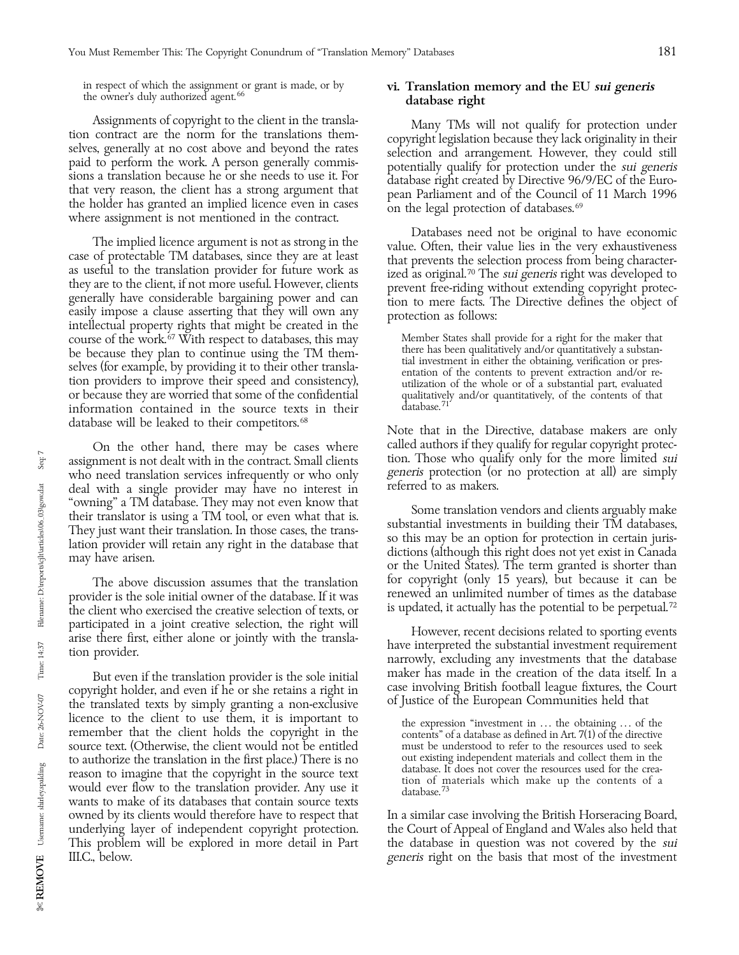Assignments of copyright to the client in the translation<br>tion contract are the norm for the translations them-<br>selves, generally at no cost above and beyond the rates<br>paid to perform the work. A person generally commis-<br>s where assignment is not mentioned in the contract.

The implied licence argument is not as strong in the<br>case of protectable TM databases, since they are at least<br>as useful to the translation provider for future work as<br>they are to the client, if not more useful. However, c course of the work.<sup>67</sup> With respect to databases, this may Member States shall provide for a right for the maker that<br>be because they plan to continue using the TM them-<br>selves (for example, by providing it to their other information contained in the source texts in their database will be leaked to their competitors. <sup>68</sup>

who need translation services infrequently or who only generis protection (or no protection at all discussed and discussed at all discussed at all discussed at all discussed at all discussed at all discussed at all discuss deal with a single provider may have no interest in

the client who exercised the creative selection of texts, or participated in a joint creative selection, the right will arise there first, either alone or jointly with the transla-<br>tion provider.<br>marrowly, excluding any investments that the database

copyright holder, and even if he or she retains a right in case involving British football league fixtures, the C<br>the translated texts by simply granting a non-exclusive of Justice of the European Communities held that<br>dic icence to the client to use them, it is important to<br>remember that the client holds the copyright in the contents" of a database as defined in Art. 7(1) of the directive<br>source text. (Otherwise, the client would not be ent source text. (Otherwise, the client would not be entitled must be understood to refer to the resources used to seek<br>to authorize the translation in the first place) There is no out existing independent materials and collec to authorize the translation in the first place.) There is no<br>reason to imagine that the copyright in the source text<br>would ever flow to the translation provider. Any use it<br>database.<sup>73</sup> database.<sup>73</sup> wants to make of its databases that contain source texts owned by its clients would therefore have to respect that In a similar case involving the British Horseracing Board, underlying layer of independent copyright protection. In a similar case involving the British Horseracing underlying layer of independent copyright protection.

# in respect of which the assignment or grant is made, or by **vi. Translation memory and the EU sui generis** the owner's duly authorized agent. <sup>66</sup> database right

qualitatively and/or quantitatively, of the contents of that database.<sup>71</sup>

Note that in the Directive, database makers are only On the other hand, there may be cases where called authors if they qualify for regular copyright protec-<br>nment is not dealt with in the contract. Small clients tion. Those who qualify only for the more limited *sui* assignment is not dealt with in the contract. Small clients ton. Those who quality only for the more limited sui<br>who need translation services infrequently or who only generis protection (or no protection at all) are simpl

"owning" a TM database. They may not even know that<br>their translation vendors and clients arguably make<br>their translation is using a TM tool, or even what that is.<br>They just want their translation. In those cases, the tran The above discussion assumes that the translation for copyright (only 15 years), but because it can be<br>ider is the sole initial owner of the database. If it was renewed an unlimited number of times as the database provider is the sole initial owner of the database. If it was renewed an unlimited number of times as the database<br>the client who exercised the creative selection of texts, or is updated, it actually has the potential to b

But even if the translation provider is the sole initial maker has made in the creation of the data itself. In a<br>right holder and even if he or she retains a right in case involving British football league fixtures, the Co

This problem will be explored in more detail in Part the database in question was not covered by the *sui*<br>III.C., below. generis right on the basis that most of the investment generis right on the basis that most of the investment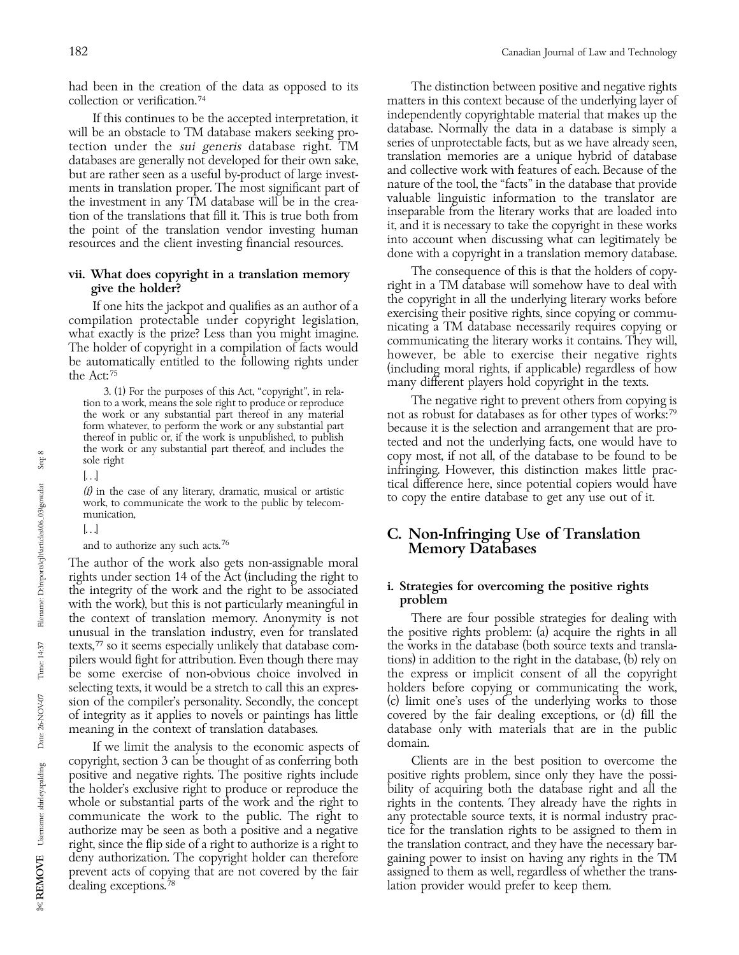tion to a work, means the sole right to produce or reproduce the work or any substantial part thereof in any material

munication,

The author of the work also gets non-assignable moral rights under section 14 of the Act (including the right to the integrity of the work and the right to be associated **i. Strategies for overcoming the positive rights** the work but this is not particularly meaningful in **problem** with the work), but this is not particularly meaningful in **problem**<br>the context of translation memory. Anonymity is not There are four possible strategies for dealing with unusual in the translation industry, even for translated pilers would fight for attribution. Even though there may

If we limit the analysis to the economic aspects of the holder's exclusive right to produce or reproduce the whole or substantial parts of the work and the right to deny authorization. The copyright holder can therefore

had been in the creation of the data as opposed to its The distinction between positive and negative rights collection or verification.<sup>74</sup> matters in this context because of the underlying layer of matters in this context because of the underlying layer of If this continues to be the accepted interpretation, it independently copyrightable material that makes up the<br>he an obstacle to TM database makers seeking pro-database. Normally the data in a database is simply a will be an obstacle to TM database makers seeking pro-<br>tection under the sui generis database right. TM series of unprotectable facts, but as we have already seen, tection under the *sui generis* database right. TM<br>
databases are generally not developed for their own sake,<br>
but are rather seen as a useful by-product of large invest-<br>
ments in translation proper. The most significant ments in translation proper. The most significant part of nature of the tool, the ''facts' in the database that provide<br>the investment in any TM database will be in the crea-<br>valuable linguistic information to the translat the investment in any TM database will be in the crea-<br>tion of the translations that fill it. This is true both from<br>the point of the translation vendor investing human<br>resources and the client investing financial resource

vii. What does copyright in a translation memory The consequence of this is that the holders of copy-<br>give the holder? The consequence of this is that the holders of copy-<br>right in a TM database will somehow have to deal w right in a TM database will somehow have to deal with the copyright in all the underlying literary works before If one hits the jackpot and qualifies as an author of a<br>compilation protectable under copyright legislation,<br>what exactly is the prize? Less than you might imagine.<br>The holder of copyright in a compilation of facts would<br>b many different players hold copyright in the texts.<br>3. (1) For the purposes of this Act, "copyright", in rela-<br>tion to a work, means the sole right to produce or reproduce<br>is a subset of the purposes of this Act, "copyrigh

not as robust for databases as for other types of works: 79 Form whatever, to perform the work or any substantial part<br>thereof in public or, if the work is unpublished, to publish<br>the work or any substantial part thereof, and includes the<br>sole right<br>sole right<br>(*f*) in the case of

# [..]<br>and to authorize any such acts.<sup>76</sup> C. Non-Infringing Use of Translation Memory Databases

the context of translation memory. Anonymity is not There are four possible strategies for dealing with unusual in the translation industry, even for translated the positive rights problem: (a) acquire the rights in all texts,<sup>77</sup> so it seems especially unlikely that database com-<br>pilers would fight for attribution. Even though there may itions) in addition to the right in the database, (b) rely on be some exercise of non-obvious choice involved in the express or implicit consent of all the copyright selecting texts, it would be a stretch to call this an expres- holders before copying or communicating the work, sion of the compiler's personality. Secondly, the concept (c) limit one's uses of the underlying works to those of integrity as it applies to novels or paintings has little covered by the fair dealing exceptions, or (d) fill the database only with materials that are in the public domain.

copyright, section 3 can be thought of as conferring both Clients are in the best position to overcome the positive and negative rights. The positive rights include positive rights problem, since only they have the possipositive and negative rights. The positive rights include positive rights problem, since only they have the possi-<br>the holder's exclusive right to produce or reproduce the bility of acquiring both the database right and al rights in the contents. They already have the rights in communicate the work to the public. The right to any protectable source texts, it is normal industry pracauthorize may be seen as both a positive and a negative tice for the translation rights to be assigned to them in right, since the flip side of a right to authorize is a right to the translation contract, and they have the right, since the flip side of a right to authorize is a right to the translation contract, and they have the necessary bar-<br>deny authorization. The copyright holder can therefore gaining power to insist on having any right prevent acts of copying that are not covered by the fair assigned to them as well, regardless of whether the trans-<br>dealing exceptions.<sup>78</sup> lation provider would prefer to keep them. lation provider would prefer to keep them.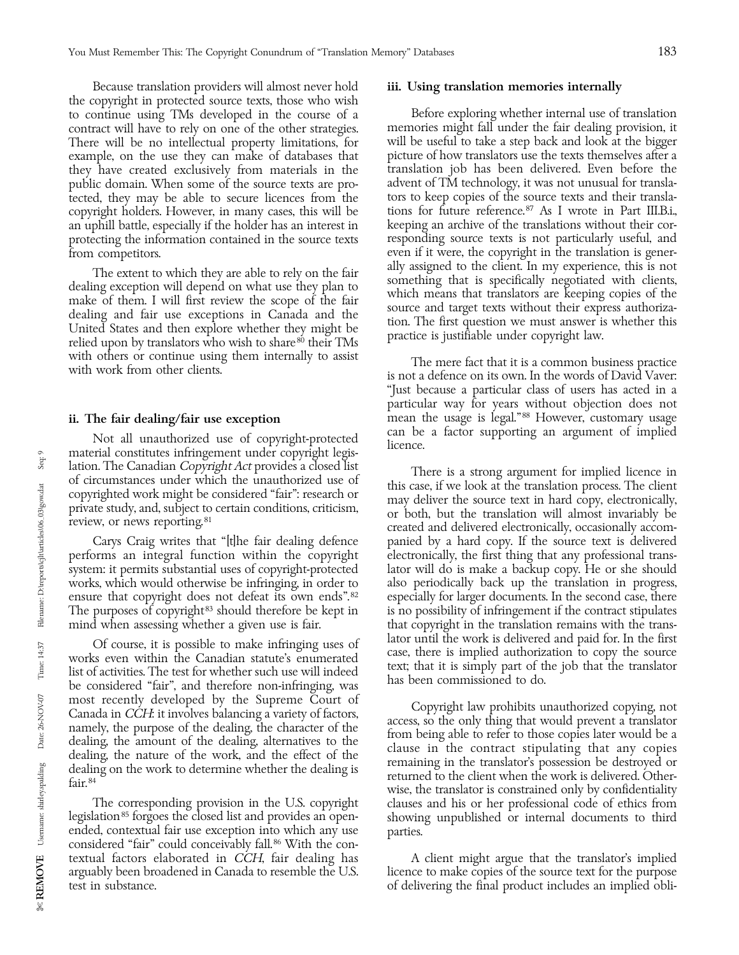Because translation providers will almost never hold **iii. Using translation memories internally** the copyright in protected source texts, those who wish to continue using TMs developed in the course of a Before exploring whether internal use of translation<br>contract will have to rely on one of the other strategies. International memories might fall under the fair dealing pr contract will have to rely on one of the other strategies. memories might fall under the fair dealing provision, it There will be no intellectual property limitations, for example, on the use they can make of databases that picture of how translators use the texts themselves after a<br>they have created exclusively from materials in the translation job has been delivered. Even before the they have created exclusively from materials in the translation job has been delivered. Even before the<br>public domain. When some of the source texts are pro- advent of TM technology, it was not unusual for translapublic domain. When some of the source texts are pro- advent of TM technology, it was not unusual for translatected, they may be able to secure licences from the copyright holders. However, in many cases, this will be tions for future reference.<sup>87</sup> As I wrote in Part III.B.i., an uphill battle, especially if the holder has an interest in keeping an archive of the translations with an uphill battle, especially if the holder has an interest in keeping an archive of the translations without their cor-<br>protecting the information contained in the source texts responding source texts is not particularly u protecting the information contained in the source texts

The extent to which they are able to rely on the fair ally assigned to the client. In my experience, this is not dealing exception will depend on what use they plan to make of them. I will first review the scope of the fai with others or continue using them internally to assist<br>
The mere fact that it is a common business practice<br>
is not a defence on its own. In the words of David Vaver:

Not all unauthorized use of copyright-protected use material constitutes infringement under copyright legis-

performs an integral function within the copyright system: it permits substantial uses of copyright-protected lator will do is make a backup copy. He or she should<br>works, which would otherwise be infringing, in order to lalso periodically back up the translation in progres works, which would otherwise be infringing, in order to also periodically back up the translation in progress, ensure that copyright does not defeat its own ends".<sup>82</sup> especially for larger documents. In the second case, t ensure that copyright does not defeat its own ends".<sup>82</sup> The purposes of copyright<sup>83</sup> should therefore be kept in is no possibility of infringement if the contract stipulates

Of course, it is possible to make infringing uses of<br>works even within the Canadian statute's enumerated<br>list of activities. The test for whether such use will indeed<br>be considered "fair", and therefore non-infringing, was most recently developed by the Supreme Court of<br>Canada in *CCH*: it involves balancing a variety of factors,<br>namely, the purpose of the dealing, the character of the<br>dealing, the amount of the dealing, alternatives to the<br>

ended, contextual fair use exception into which any use parties. considered ''fair'' could conceivably fall. 86 With the contextual factors elaborated in CCH, fair dealing has A client might argue that the translator's implied

from competitors.<br>The extent to which they are able to rely on the fain ally assigned to the client. In my experience, this is not

''Just because a particular class of users has acted in a particular way for years without objection does not ii. The fair dealing/fair use exception mean the usage is legal."<sup>88</sup> However, customary usage can be a factor supporting an argument of implied

lation. The Canadian *Copyright Act* provides a closed list<br>of circumstances under which the unauthorized use of<br>copyrighted work might be considered "fair": research or<br>private study, and, subject to certain conditions, c Carys Craig writes that ''[t]he fair dealing defence panied by a hard copy. If the source text is delivered mind when assessing whether a given use is fair. that copyright in the translation remains with the trans-<br>Of gourse it is possible to make infrincing uses of lator until the work is delivered and paid for. In the first

wise, the translator is constrained only by confidentiality The corresponding provision in the U.S. copyright clauses and his or her professional code of ethics from legislation<sup>85</sup> forgoes the closed list and provides an open-<br>showing unpublished or internal documents to third showing unpublished or internal documents to third

arguably been broadened in Canada to resemble the U.S. licence to make copies of the source text for the purpose test in substance. of delivering the final product includes an implied obli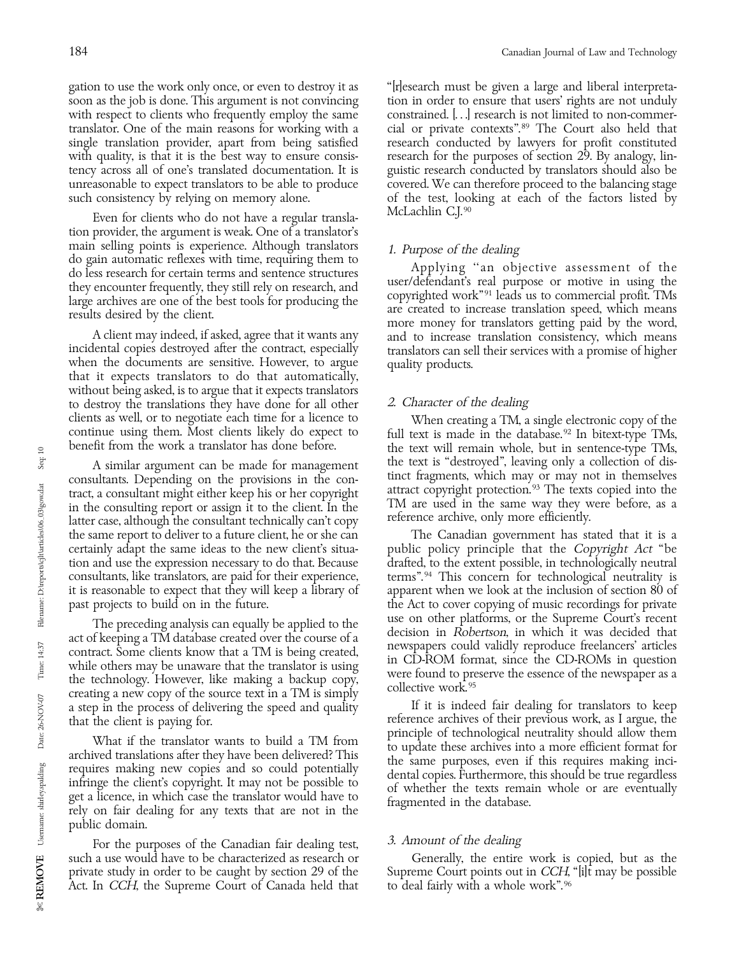translator. One of the main reasons for working with a

Even for clients who do not have a regular transla- McLachlin C.J.<sup>90</sup> tion provider, the argument is weak. One of a translator's

without being asked, is to argue that it expects translators to destroy the translations they have done for all other 2. Character of the dealing clients as well, or to negotiate each time for a licence to When creating a TM, a

consultants. Depending on the provisions in the con-<br>tract, a consultant might either keep his or her copyright<br>in the consultant might either keep his or her copyright<br>attract copyright protection.<sup>93</sup> The texts copied in the same report to deliver to a future client, he or she can The Canadian government has stated that it is a it is reasonable to expect that they will keep a library of

The preceding analysis can equally be applied to the<br>act of keeping a TM database created over the course of a<br>contract. Some clients know that a TM is being created,<br>while others may be unaware that the translator is usin a step in the process of delivering the speed and quality If it is indeed fair dealing for translators to keep

What if the translator wants to build a TM from<br>archived translations after they have been delivered? This<br>requires making new copies and so could potentially<br>infringe the client's copyright. It may not be possible to<br>get public domain.

For the purposes of the Canadian fair dealing test, 3. Amount of the dealing such a use would have to be characterized as research or Generally, the entire work is copied, but as the private study in order to be caught by section 29 of the Supreme Court points out in CCH, "[i]t may be possible Act. In *CCH*, the Supreme Court of Canada held that to deal fairly with a whole work".<sup>96</sup>

gation to use the work only once, or even to destroy it as ''[r]esearch must be given a large and liberal interpretasoon as the job is done. This argument is not convincing tion in order to ensure that users' rights are not unduly with respect to clients who frequently employ the same constrained. [...] research is not limited to non-commer-<br>translator. One of the main reasons for working with a cial or private contexts".<sup>89</sup> The Court also held tha single translation provider, apart from being satisfied research conducted by lawyers for profit constituted with quality, is that it is the best way to ensure consis-<br>research for the purposes of section 29. By analogy, lintency across all of one's translated documentation. It is guistic research conducted by translators should also be unreasonable to expect translators to be able to produce covered. We can therefore proceed to the balancing stage<br>such consistency by relying on memory alone. The state of the test, looking at each of the factors listed by of the test, looking at each of the factors listed by

main selling points is experience. Although translators<br>do gain automatic reflexes with time, requiring them to<br>do less research for certain terms and sentence structures<br>do less research for certain terms and sentence str

clients as well, or to negotiate each time for a licence to<br>
continue using them. Most clients likely do expect to<br>
benefit from the work a translator has done before.<br>
the text will remain whole, but in sentence-type TMs, A similar argument can be made for management the text is "destroyed", leaving only a collection of dis-<br>ultants Depending on the provisions in the con-<br>inct fragments, which may or may not in themselves

certainly adapt the same ideas to the new client's situa-<br>public policy principle that the Copyright Act "be tion and use the expression necessary to do that. Because drafted, to the extent possible, in technologically neutral<br>consultants, like translators, are paid for their experience, terms".<sup>94</sup> This concern for technological consultants, like translators, are paid for their experience, terms".<sup>94</sup> This concern for technological neutrality is it is reasonable to expect that they will keep a library of apparent when we look at the inclusion of s past projects to build on in the future. the Act to cover copying of music recordings for private

that the client is paying for.<br> **TALE ISLANE SECTED SECTION** SECTION CONTROL PROPERTY ASSESSED PROPERTY ASSESSED PROPERTY ASSESSED PROPERTY ASSESSED PROPERTY ASSESSED PROPERTY ASSESSED PROPERTY ASSESSED PROPERTY ASSESSED P

 $\ensuremath{\mathop{\mathbb{C}}}\xspace$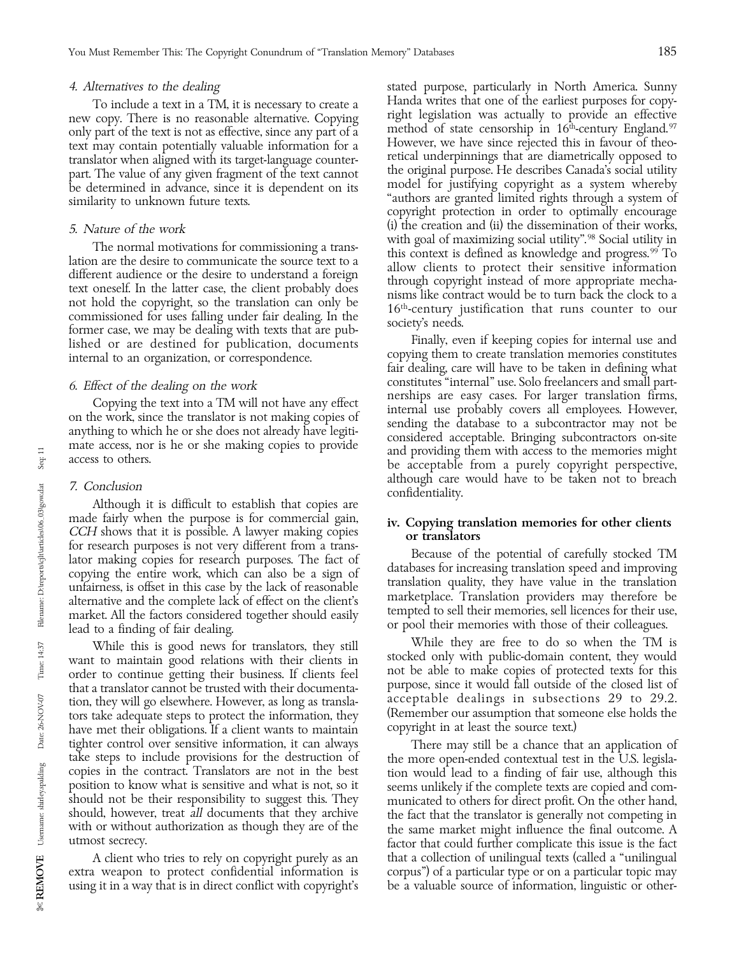The normal motivations for commissioning a trans-<br>lation are the desire to communicate the source text to a<br>different audience or the desire to understand a foreign<br>text oneself. In the latter case, the client probably doe

made fairly when the purpose is for commercial gain,<br>
CCH shows that it is possible. A lawyer making copies<br>
for research purposes is not very different from a trans-<br>
lator making copies for research purposes. The fact of or pool their memories with those of their colleagues. lead to a finding of fair dealing.

have met their obligations. If a client wants to maintain tighter control over sensitive information, it can always There may still be a chance that an application of take steps to include provisions for the destruction of the more open-ended contextual test in the U.S. legisla-

extra weapon to protect confidential information is

4. Alternatives to the dealing stated purpose, particularly in North America. Sunny To include a text in a TM, it is necessary to create a Handa writes that one of the earliest purposes for copy-<br>copy-copy-copy-right legislation was actually to provide an effective mew copy. There is no reasonable alternative. Copying<br>only part of the text is not as effective, since any part of a<br>text may contain potentially valuable information for a<br>text may contain potentially valuable information 5. Nature of the work (i) the creation and (ii) the dissemination of their works,<br>The same distributions for commissioning a trans

6. Effect of the dealing on the work<br>
Copying the text into a TM will not have any effect<br>
on the work, since the translator is not making copies of<br>
anything to which he or she does not already have legiti-<br>
mate access, although care would have to be taken not to breach 7. Conclusion confidentiality. Although it is difficult to establish that copies are

alternative and the complete lack of effect on the client's marketplace. I ranslation providers may therefore be<br>market. All the factors considered together should easily tempted to sell their memories, sell licences for t

While this is good news for translators, they still while they are free to do so when the TM is<br>t to maintain good relations with their clients in stocked only with public-domain content, they would want to maintain good relations with their clients in stocked only with public-domain content, they would<br>order to continue getting their business If clients feel and the able to make copies of protected texts for this order to continue getting their business. If clients feel and the able to make copies of protected texts for this<br>that a translator cannot be trusted with their documenta-<br>tion they will go elsewhere However as long as tra tion, they will go elsewhere. However, as long as transla-<br>tors take adequate steps to protect the information, they (Remember our assumption that someone else holds the<br>have met their obligations If a client wants to main

the more open-ended contextual test in the U.S. legislacopies in the contract. Translators are not in the best tion would lead to a finding of fair use, although this position to know what is sensitive and what is not, so it seems unlikely if the complete texts are copied and position to know what is sensitive and what is not, so it<br>seems unlikely if the complete texts are copied and com-<br>should, however, treat *all* documents that they archive<br>with or without authorization as though they are o factor that could further complicate this issue is the fact A client who tries to rely on copyright purely as an that a collection of unilingual texts (called a "unilingual a weapon to protect confidential information is corpus") of a particular type or on a particular topic may using it in a way that is in direct conflict with copyright's be a valuable source of information, linguistic or other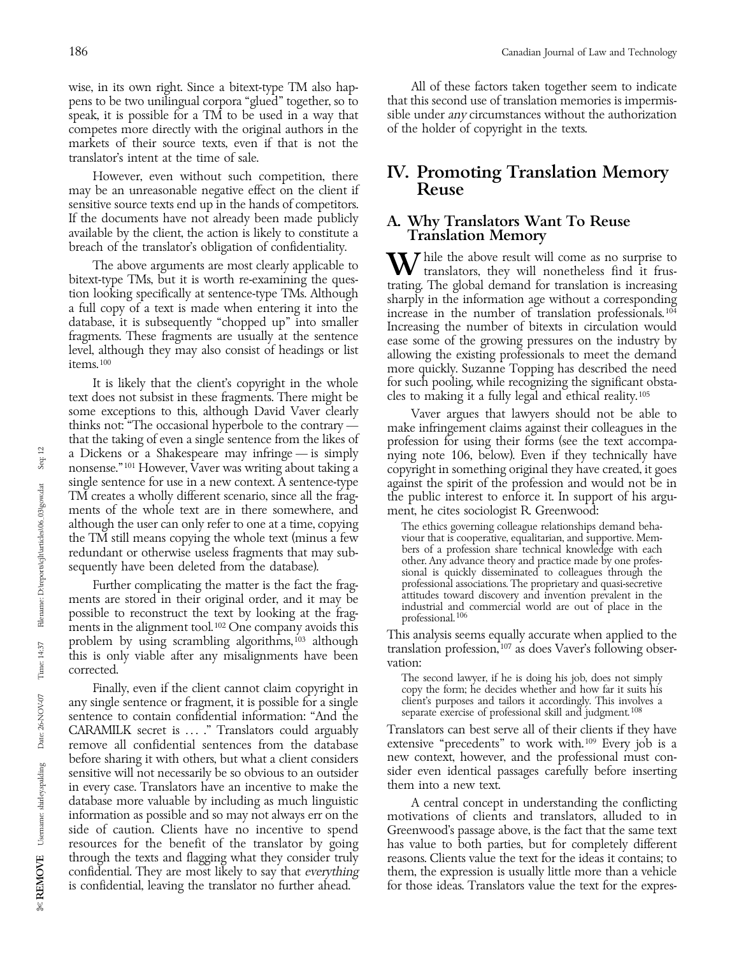wise, in its own right. Since a bitext-type TM also hap- All of these factors taken together seem to indicate<br>pens to be two unilingual corpora "glued" together, so to that this second use of translation memories is imperm pens to be two unilingual corpora "glued" together, so to that this second use of translation memories is impermis-<br>speak, it is possible for a TM to be used in a way that sible under any circumstances without the authoriz speak, it is possible for a TM to be used in a way that competes more directly with the original authors in the of the holder of copyright in the texts. markets of their source texts, even if that is not the translator's intent at the time of sale.

may be an unreasonable negative effect on the client if sensitive source texts end up in the hands of competitors.

text does not subsist in these fragments. There might be cles to making it a fully legal and ethical reality.<sup>105</sup> some exceptions to this, although David Vaver clearly<br>thinks not: "The occasional hyperbole to the contrary —<br>that the taking of even a single sentence from the likes of<br>a Dickens or a Shakespeare may infringe — is simply<br> a Dickens or a Shakespeare may infringe — is simply a nying note 106, below). Even if they technically have nonsense."<sup>101</sup> However, Vaver was writing about taking a copyright in something original they have created, it go nonsense."<sup>101</sup> However, Vaver was writing about taking a copyright in something original they have created, it goes single sentence for use in a new context. A sentence-type against the spirit of the profession and would single sentence for use in a new context. A sentence-type against the spirit of the profession and would not be in<br>TM creates a wholly different scenario, since all the frag- the public interest to enforce it. In support o ments of the whole text are in there somewhere, and ment, he cites sociologist R. Greenwood:<br>although the user can only refer to one at a time, copying The ethics governing colleague relationships the TM still means copying the whole text (minus a few viour that is cooperative, equalitarian, and supportive. Mem-<br>redundant or otherwise useless fragments that may sub-<br>bers of a profession share technical knowledge wit

Further complicating the matter is the fact the frag- professional associations. The proprietary and quasi-secretive ments are stored in their original order, and it may be attitudes toward discovery and invention prevalent in the industrial and commercial world are out of place in the possible to reconstruct the text by looking at the frag-<br>ments in the alignment tool.<sup>102</sup> One company avoids this problem by using scrambling algorithms,<sup>103</sup> although<br>this is only viable after any misalignments have been<br>corrected.<br>Finally, even if the client cannot claim copyright in<br>Finally, even if the client cannot claim copyrigh

Finally, even if the client cannot claim copyright in copy the form; he decides whether and how far it suits his<br>single sentence or fragment, it is possible for a single client's purposes and tailors it accordingly. This i any single sentence or fragment, it is possible for a single client's purposes and tailors it accordingly. This involves and tailors it accordingly. This involves and tailors it accordingly. This involves and tailors it ac separate exercise of professional skill and judgment.<sup>108</sup><br>CARAMILK secret is ... ." Translators could arguably Translators can best serve all of their clients if they have CARAMILK secret is ... ." Translators could arguably before sharing it with others, but what a client considers in every case. Translators have an incentive to make the database more valuable by including as much linguistic  $\alpha$  A central concept in understanding the conflicting information as possible and so may not always err on the motivations of clients and translators, alluded to in information as possible and so may not always err on the side of caution. Clients have no incentive to spend

# However, even without such competition, there  $\blacksquare$  IV. Promoting Translation Memory be an unreasonable negative effect on the client if Reuse

If the documents have not already been made publicly<br>available by the client, the action is likely to constitute a<br>breach of the translator's obligation of confidentiality.<br>The above arguments are most clearly applicable t database, it is subsequently chopped up into smaller<br>
fragments. These fragments are usually at the sentence<br>
level, although they may also consist of headings or list<br>
items.<sup>100</sup><br>
items.<sup>100</sup><br>
allowing the existing profe It is likely that the client's copyright in the whole for such pooling, while recognizing the significant obsta-

the public interest to enforce it. In support of his argu-

The ethics governing colleague relationships demand beha-<br>viour that is cooperative, equalitarian, and supportive. Memredundant or otherwise useless fragments that may sub-<br>sequently have been deleted from the database).<br>Further complicating the matter is the fact the frag-<br>professional associations. The proprietary and quasi-secretive<br>pr

remove all confidential sentences from the database extensive "precedents" to work with.<sup>109</sup> Every job is a before sharing it with others, but what a client considers new context, however, and the professional must consensitive will not necessarily be so obvious to an outsider sider even identical passages carefully before inserting<br>in every case. Translators have an incentive to make the them into a new text.

side of caution. Clients have no incentive to spend Greenwood's passage above, is the fact that the same text<br>resources for the benefit of the translator by going has value to both parties, but for completely different has value to both parties, but for completely different through the texts and flagging what they consider truly reasons. Clients value the text for the ideas it contains; to confidential. They are most likely to say that *everything* them, the expression is usually little more them, the expression is usually little more than a vehicle is confidential, leaving the translator no further ahead. for those ideas. Translators value the text for the expres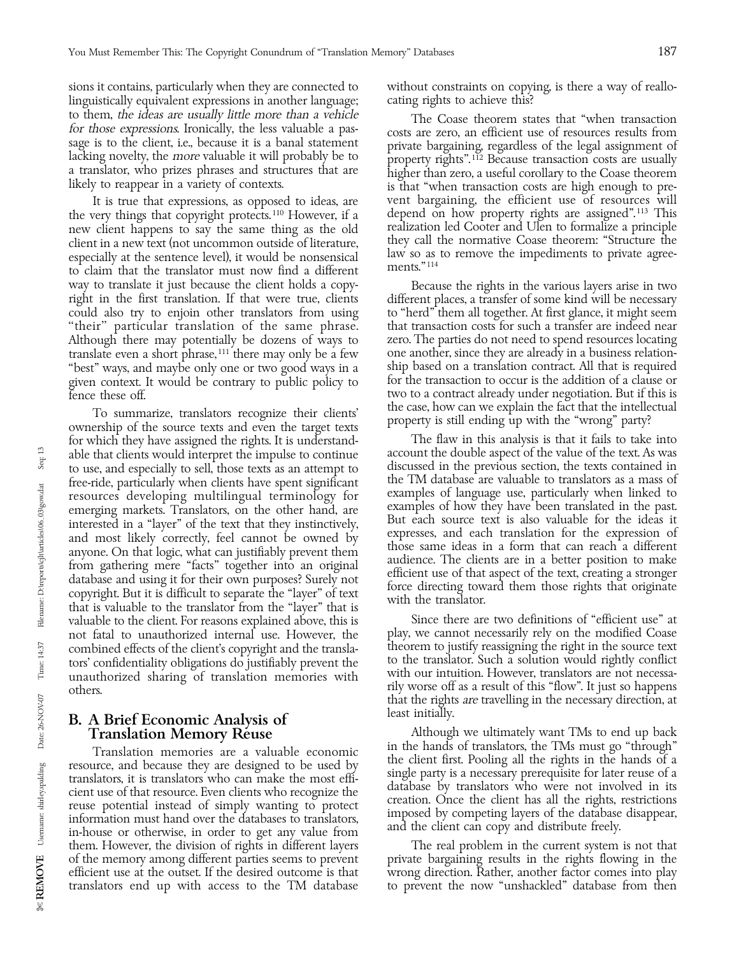linguistically equivalent expressions in another language; to them, the ideas are usually little more than a vehicle<br>for those expressions. Ironically, the less valuable a pas-<br>sage is to the client, i.e., because it is a banal statement<br>a translator, who prizes phrases and struct

the very things that copyright protects.<sup>110</sup> However, if a depend on how property rights are assigned<sup>". 113</sup> This the very client happens to say the same thing as the old realization led Cooter and Ulen to formalize a pr new client happens to say the same thing as the old realization led Cooter and Ulen to formalize a principle<br>client in a new text (not uncommon outside of literature they call the normative Coase theorem: "Structure the client in a new text (not uncommon outside of literature,<br>especially at the sentence level), it would be nonsensical<br>to claim that the translator must now find a different<br>ments."<sup>114</sup> way to translate it just because the client holds a copy-<br>
Because the rights in the various layers arise in two<br>
right in the first translation. If that were true, clients<br>
different places, a transfer of some kind will b right in the first translation. If that were true, clients different places, a transfer of some kind will be necessary<br>could also try to enjoin other translators from using to "herd" them all together. At first glance, it ''their'' particular translation of the same phrase. that transaction costs for such a transfer are indeed near Although there may potentially be dozens of ways to zero. The parties do not need to spend resources locating translate even a short phrase,<sup>111</sup> there may only be a few one another, since they are already in a business re translate even a short phrase,<sup>111</sup> there may only be a few one another, since they are already in a business relation-<br>"best" ways, and maybe only one or two good ways in a ship based on a translation contract. All that i ''best'' ways, and maybe only one or two good ways in a ship based on a translation contract. All that is required given context. It would be contrary to public policy to

To summarize, translators recognize their clients' are case, how can we explain the fact that the intellectual ownership of the source texts and even the target texts property is still ending up with the "wrong" party? The free-ride, particularly when clients have spent significant<br>resources developing multilingual terminology for<br>examples of language use, particularly when linked to<br>emerging markets. Translators, on the other hand, are<br>inte valuable to the client. For reasons explained above, this is Since there are two definitions of "efficient use" at<br>not fatal to unauthorized internal use. However, the play, we cannot necessarily rely on the modified Coase not fatal to unauthorized internal use. However, the play, we cannot necessarily rely on the modified Coase<br>combined effects of the client's copyright and the transla-heaven to justify reassigning the right in the source t combined effects of the client's copyright and the transla-<br>theorem to justify reassigning the right in the source text<br>to the translator. Such a solution would rightly conflict

Translation memories are a valuable economic in the hands of translators, the TMs must go "through"<br>
resource, and because they are designed to be used by<br>
translators, it is translators who can make the most effi-<br>
cient translators end up with access to the TM database

sions it contains, particularly when they are connected to without constraints on copying, is there a way of reallo-<br>linguistically equivalent expressions in another language; cating rights to achieve this?

It is true that expressions, as opposed to ideas, are vent bargaining, the efficient use of resources will very things that copyright protects.<sup>110</sup> However, if a depend on how property rights are assigned".<sup>113</sup> This

to "herd" them all together. At first glance, it might seem Fence these off. This is two to a contract already under negotiation. But if this is the case, how can we explain the fact that the intellectual

for which they have assigned the rights. It is understand- The flaw in this analysis is that it fails to take into able that clients would interpret the impulse to continue account the double aspect of the value of the text. As was<br>to use, and especially to sell, those texts as an attempt to discussed in the previous section, the texts to use, and especially to sell, those texts as an attempt to discussed in the previous section, the texts contained in<br>free-ride particularly when clients have spent significant the TM database are valuable to translators

to the translator. Such a solution would rightly conflict<br>unauthorized sharing of translation memories with with our intuition. However, translators are not necessa-<br>others.<br>the start of this "flow". It just so happens<br>tha

**B. A Brief Economic Analysis of** least initially.<br> **Example 1991** Translation Memory Reuse Although we ultimately want TMs to end up back<br>
Translation memories are a valuable economic in the hands of translators, the TMs

them. However, the division of rights in different layers The real problem in the current system is not that of the memory among different parties seems to prevent private bargaining results in the rights flowing in the<br>efficient use at the outset. If the desired outcome is that wrong direction. Rather, another factor comes into efficient use at the outset. If the desired outcome is that wrong direction. Rather, another factor comes into play<br>translators end up with access to the TM database to prevent the now "unshackled" database from then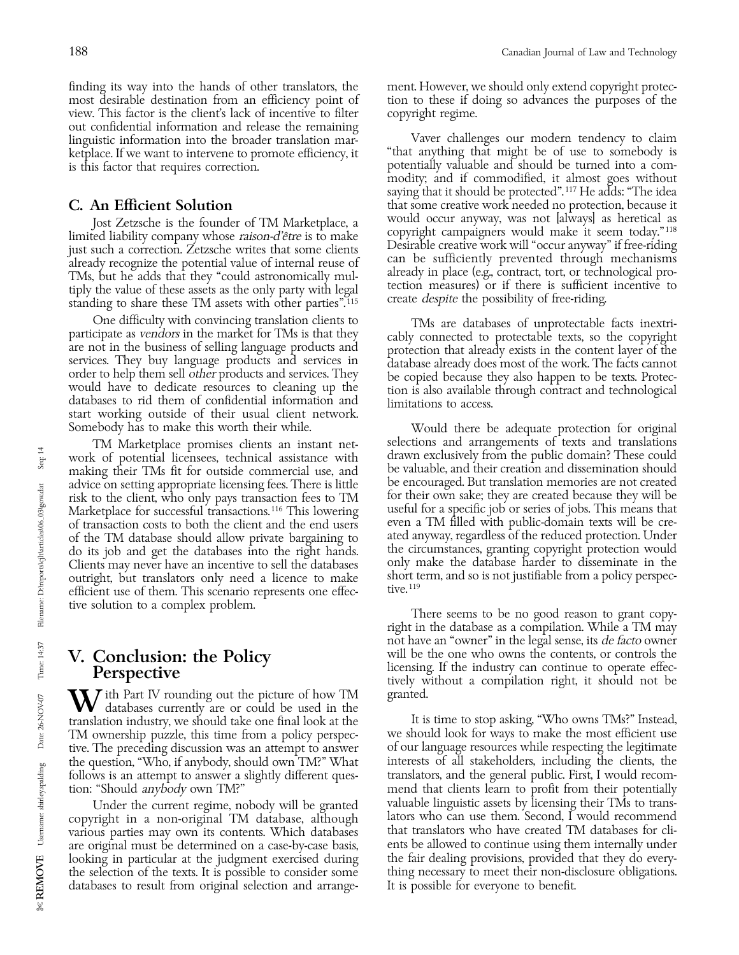most desirable destination from an efficiency point of view. This factor is the client's lack of incentive to filter copyright regime. out confidential information and release the remaining linguistic information into the broader translation mar-<br>ketplace. If we want to intervene to promote efficiency, it "that anything that might be of use to somebody is ketplace. If we want to intervene to promote efficiency, it ''that anything that might be of use to somebody is

Jost Zetzsche is the founder of TM Marketplace, a<br>limited liability company whose *raison-d'être* is to make<br>just such a correction. Zetzsche writes that some clients<br>already recognize the potential value of internal reuse

One difficulty with convincing translation clients to<br>participate as *vendors* in the market for TMs is that they<br>are not in the business of selling language products and<br>services. They buy language products and services i

work of potential licensees, technical assistance with drawn exclusively from the public domain? These could<br>making their TMs fit for outside commercial use, and be valuable, and their creation and dissemination should making their TMs fit for outside commercial use, and be valuable, and their creation and dissemination should<br>advice on setting appropriate licensing fees. There is little be encouraged. But translation memories are not cr advice on setting appropriate licensing fees. There is little be encouraged. But translation memories are not created<br>risk to the client, who only pays transaction fees to TM for their own sake; they are created because th risk to the client, who only pays transaction fees to TM for their own sake; they are created because they will be<br>Marketplace for successful transactions.<sup>116</sup> This lowering useful for a specific job or series of jobs. Th Marketplace for successful transactions.<sup>116</sup> This lowering useful for a specific job or series of jobs. This means that of transaction costs to both the client and the end users even a TM filled with public-domain texts w of transaction costs to both the client and the end users even a TM filled with public-domain texts will be cre-<br>of the TM database should allow private bargaining to ated anyway, regardless of the reduced protection. Unde of the TM database should allow private bargaining to ated anyway, regardless of the reduced protection. Under<br>do its job and get the databases into the right hands. In the circumstances, granting copyright protection woul do its job and get the databases into the right hands. the circumstances, granting copyright protection would<br>Clients may never have an incentive to sell the databases only make the database harder to disseminate in the Clients may never have an incentive to sell the databases only make the database harder to disseminate in the<br>outright, but translators only need a licence to make short term, and so is not justifiable from a policy perspe outright, but translators only need a licence to make short to short term and so is not to it not it is not in<br>efficient use of them. This scenario represents one effecefficient use of them. This scenario represents one effec-<br>tive solution to a complex problem.

W ith Part IV rounding out the picture of how TM granted.<br>
Translation industry, we should take one final look at the left is time to stop asking, "Who owns TMs?" Instead, follows is an attempt to answer a slightly different question: "Should *anybody* own TM?"

the selection of the texts. It is possible to consider some thing necessary to meet their non-disclatabases to result from original selection and arrange-<br>It is possible for everyone to benefit. databases to result from original selection and arrange-

finding its way into the hands of other translators, the ment. However, we should only extend copyright protec-<br>most desirable destination from an efficiency point of tion to these if doing so advances the purposes of the

is this factor that requires correction. The potentially valuable and should be turned into a com-<br>modity; and if commodified, it almost goes without saying that it should be protected".<sup>117</sup> He adds: "The idea **C. An Efficient Solution** that some creative work needed no protection, because it<br>Inst Zetzsche is the founder of TM Marketplace a would occur anyway, was not [always] as heretical as

Somebody has to make this worth their while.<br>TM Marketplace promises clients an instant net-<br>selections and arrangements of texts and translations TM Marketplace promises clients an instant net- selections and arrangements of texts and translations

There seems to be no good reason to grant copyright in the database as a compilation. While a TM may not have an ''owner'' in the legal sense, its de facto owner V. Conclusion: the Policy will be the one who owns the contents, or controls the licensing. If the industry can continue to operate effect-<br>Perspective the policy without a completion right, it should not be tively without a compilation right, it should not be granted.

translation industry, we should take one final look at the least in the use of the use of the use the use the use<br>TM ownership puzzle, this time from a policy perspec- we should look for ways to make the most efficient use TM ownership puzzle, this time from a policy perspec-<br>tive. The preceding discussion was an attempt to answer of our language resources while respecting the legitimate tive. The preceding discussion was an attempt to answer of our language resources while respecting the legitimate<br>the question, "Who, if anybody, should own TM?" What interests of all stakeholders, including the clients, t the question, "Who, if anybody, should own TM?" What interests of all stakeholders, including the clients, the<br>follows is an attempt to answer a slightly different ques- translators, and the general public. First, I would mend that clients learn to profit from their potentially<br>valuable linguistic assets by licensing their TMs to trans-Under the current regime, nobody will be granted valuable linguistic assets by licensing their TMs to trans-<br>vright in a non-original TM database, although lators who can use them. Second, I would recommend copyright in a non-original TM database, although lators who can use them. Second, I would recommend<br>various parties may own its contents. Which databases that translators who have created TM databases for clivarious parties may own its contents. Which databases that translators who have created TM databases for cli-<br>are original must be determined on a case-by-case basis, ents be allowed to continue using them internally under are original must be determined on a case-by-case basis, ents be allowed to continue using them internally under looking in particular at the judgment exercised during the fair dealing provisions, provided that they do every-<br>the selection of the texts. It is possible to consider some thing necessary to meet their non-disclosure obli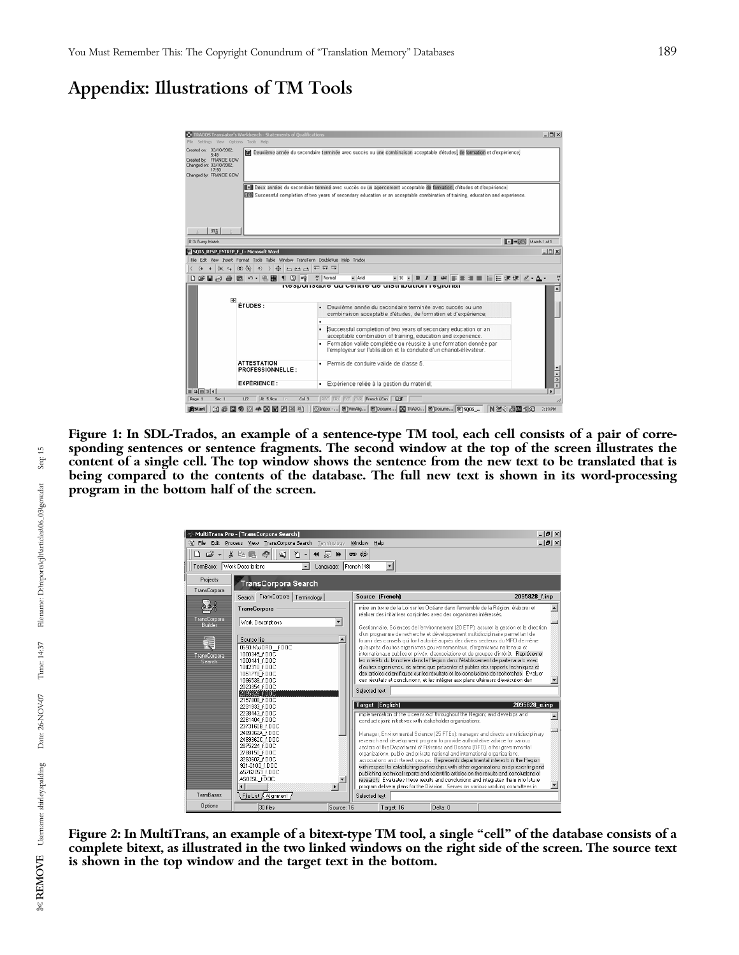## Appendix: Illustrations of TM Tools



**Figure 1: In SDL-Trados, an example of a sentence-type TM tool, each cell consists of a pair of corresponding sentences or sentence fragments. The second window at the top of the screen illustrates the content of a single cell. The top window shows the sentence from the new text to be translated that is being compared to the contents of the database. The full new text is shown in its word-processing program in the bottom half of the screen.**

|                                                                                                    | The Edit Process View TransCorpora Search Terminology                                                                                                                                                                                                                | Window Help                                                                                                                                                                                                                                                                                                                                                                                                                                                                                                                                                                                                                                                                                                                                                                                                                                                                                                                                 | $  B $ $\times$<br>$- p  \times$ |
|----------------------------------------------------------------------------------------------------|----------------------------------------------------------------------------------------------------------------------------------------------------------------------------------------------------------------------------------------------------------------------|---------------------------------------------------------------------------------------------------------------------------------------------------------------------------------------------------------------------------------------------------------------------------------------------------------------------------------------------------------------------------------------------------------------------------------------------------------------------------------------------------------------------------------------------------------------------------------------------------------------------------------------------------------------------------------------------------------------------------------------------------------------------------------------------------------------------------------------------------------------------------------------------------------------------------------------------|----------------------------------|
| D 2 +                                                                                              | $\bullet$<br>も<br>人生吧<br>। ⊗।<br>厬<br>$\blacktriangleleft$<br>$\rightarrow$                                                                                                                                                                                          | කෙ ප්ර                                                                                                                                                                                                                                                                                                                                                                                                                                                                                                                                                                                                                                                                                                                                                                                                                                                                                                                                      |                                  |
| TermBase: Work Descriptions<br>$\overline{ }$<br>Language: French (48)<br>$\overline{\phantom{a}}$ |                                                                                                                                                                                                                                                                      |                                                                                                                                                                                                                                                                                                                                                                                                                                                                                                                                                                                                                                                                                                                                                                                                                                                                                                                                             |                                  |
| Projects                                                                                           | TransCorpora Search                                                                                                                                                                                                                                                  |                                                                                                                                                                                                                                                                                                                                                                                                                                                                                                                                                                                                                                                                                                                                                                                                                                                                                                                                             |                                  |
| TransCorpora                                                                                       | Search TransCorpora   Terminology                                                                                                                                                                                                                                    | Source (French)                                                                                                                                                                                                                                                                                                                                                                                                                                                                                                                                                                                                                                                                                                                                                                                                                                                                                                                             | 2095828 f.inp                    |
|                                                                                                    | <b>TransCorpora</b>                                                                                                                                                                                                                                                  | mise en Juvre de la Loi sur les Océans dans l'ensemble de la Région; élaborer et<br>réaliser des initiatives conjointes avec des organismes intéressés.                                                                                                                                                                                                                                                                                                                                                                                                                                                                                                                                                                                                                                                                                                                                                                                     |                                  |
| TransCorpora<br><b>Builder</b><br>TransCorpora<br>Search                                           | Work Descriptions<br>$\blacktriangledown$<br>Source file<br>0550INWORD f.DOC<br>1000345 F.DOC<br>1000441 f.DOC<br>1042310 f.DOC<br>1051778 F.DOC<br>1096538 f.DOC<br>2023854 f.DOC<br>2095828 I.DOC                                                                  | Gestionnaire, Sciences de l'environnement (20 ETP): assurer la gestion et la direction<br>d'un programme de recherche et développement multidisciplinaire permettant de<br>fournir des conseils qui font autorité auprès des divers secteurs du MPO de même<br>gu'auprès d'autres organismes gouvernementaux, d'organismes nationaux et<br>internationaux publics et privés, d'associations et de groupes d'intérêt. Représenter<br>les intérêts du Ministère dans la Région dans l'établissement de partenariats avec<br>d'autres organismes, de même que présenter et publier des rapports techniques et<br>des articles scientifiques sur les résultats et les conclusions de recherches. Évaluer<br>ces résultats et conclusions, et les intégrer aux plans ultérieurs d'exécution des<br>Selected text                                                                                                                                 |                                  |
|                                                                                                    | 2157808 F.DOC<br>2231933 f.DOC                                                                                                                                                                                                                                       | Target [English]                                                                                                                                                                                                                                                                                                                                                                                                                                                                                                                                                                                                                                                                                                                                                                                                                                                                                                                            | 2095828 e.inp                    |
| TermBases                                                                                          | 2238443 f.DOC<br>2261404 F.DOC<br>2373160B f.DOC<br>2489362A F.DOC<br>2489362C f.DOC<br>2675224 I.DOC<br>2788150 f.DOC<br>3293607 f.DOC<br>921-0100 FDOC<br>A5762053 F.DOC<br>AS02SL F.DOC<br>$\blacktriangleleft$<br>$\blacktriangleright$<br>File List & Alignment | implementation of the Uceans Act throughout the Hegion; and develops and<br>conducts joint initiatives with stakeholder organizations.<br>Manager, Environmental Science (25 FTEs); manages and directs a multidisciplinary<br>research and development program to provide authoritative advice for various<br>sectors of the Department of Fisheries and Oceans (DFO), other governmental<br>organizations, public and private national and international organizations,<br>associations and interest groups. Represents departmental interests in the Region<br>with respect to establishing partnerships with other organizations and presenting and<br>publishing technical reports and scientific articles on the results and conclusions of<br>research. Evaluates these results and conclusions and integrates them into future<br>program delivery plans for the Division. Serves on various working committees in<br>Selected text |                                  |
| <b>Options</b>                                                                                     | 30 files<br>Source: 16                                                                                                                                                                                                                                               | Target: 16<br>Delta: 0                                                                                                                                                                                                                                                                                                                                                                                                                                                                                                                                                                                                                                                                                                                                                                                                                                                                                                                      |                                  |

**Figure 2: In MultiTrans, an example of a bitext-type TM tool, a single ''cell'' of the database consists of a complete bitext, as illustrated in the two linked windows on the right side of the screen. The source text is shown in the top window and the target text in the bottom.**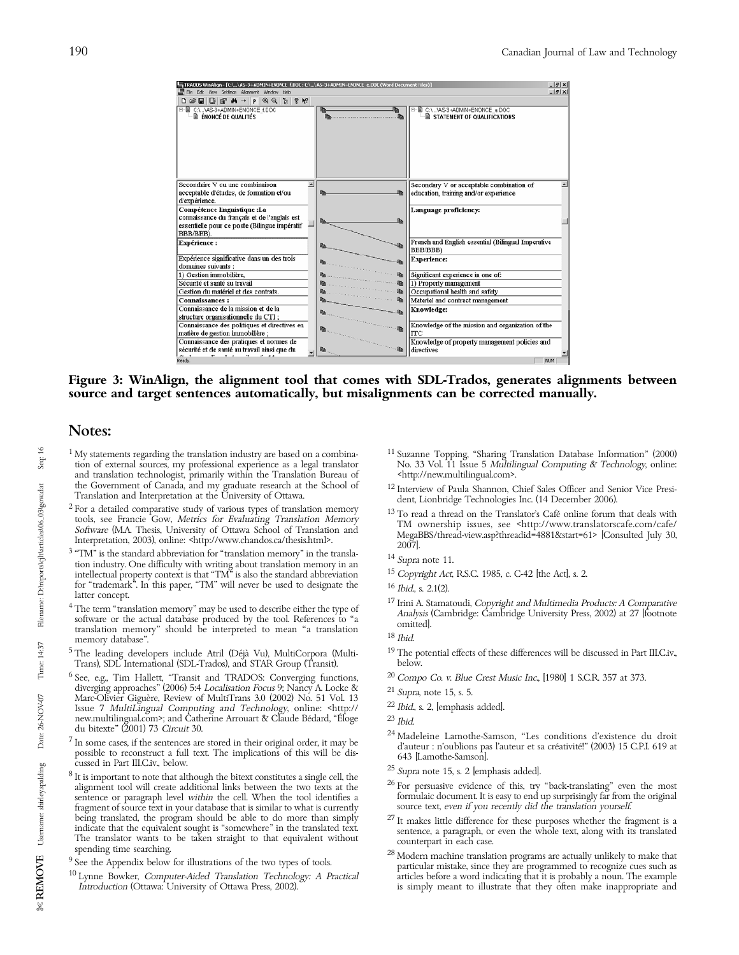

**Figure 3: WinAlign, the alignment tool that comes with SDL-Trados, generates alignments between source and target sentences automatically, but misalignments can be corrected manually.**

## Notes:

- $1$  My statements regarding the translation industry are based on a combination of external sources, my professional experience as a legal translator and translation technologist, primarily within the Translation Bureau of the Government of Canada, and my graduate research at the School of Translation and Interpretation at the University of Ottawa.
- the Government of Canada, and my graduate research at the School of<br>
Translation and Interpretation at the University of Ottawa.<br>
<sup>2</sup> For a detailed comparative study of various types of translation memory<br>
<sup>2</sup> For a detai
- 
- For "trademark". In this paper, "IM" will never be used to designate the<br>
<sup>4</sup> The term "translation memory" may be used to describe either the type of<br>
<sup>4</sup> The term "translation memory" may be used to describe either the t
- Trans), SDL International (SDL-Trados), and STAR Group (Transit). below.
- <sup>6</sup> See, e.g., Tim Hallett, "Transit and TRADOS: Converging functions, <sup>20</sup> Compo Co. v. Blue Crest Music Inc., [1980] 1 S.C.R. 357 at 373. diverging approaches" (2006) 5:4 Localisation Focus 9; Nancy A. Locke & Marc-Olivier Giguère, Review of MultiTrans 3.0 (2002) No. 51 Vol. 13 Issue 7 MultiLingual Computing and Technology, online: <http:// 22 Ibid., s. 2, [
- 
- du bitexte" (2001) 73 Circuit 30.<br>
<sup>7</sup> In some cases, if the sentences are stored in their original order, it may be<br>
<sup>24</sup> Madeleine Lamothe-Samson, "Les conditions d'existence du droit<br>
possible to reconstruct a full tex  $8$  It is important to note that although the bitext constitutes a single cell, the alignment tool will create additional links between the two texts at the sentence or paragraph level within the cell. When the tool ident fragment of source text in your database that is similar to what is currently source text, even if you recently did the translation yourself.<br>
being translated, the program should be able to do more than simply  $27$  It mak
- 
- 
- <sup>11</sup> Suzanne Topping, "Sharing Translation Database Information" (2000) No. 33 Vol. 11 Issue 5 *Multilingual Computing & Technology*, online:  $\text{thtp:}/\text{new.multiingular.com}>$ .
- 
- 

- $^{5}$ The leading developers include Atril (Déjà Vu), MultiCorpora (Multi-  $^{19}$ The potential effects of these differences will be discussed in Part III.C.iv.,
	-
	-
	-

- 
- 
- 
- 
- Fig. The mass interest of the person where the ranged that the equivalent sought is "somewhere" in the translated text.<br>The translator wants to be taken straight to that equivalent without<br>spending time searching<br>P See the is simply meant to illustrate that they often make inappropriate and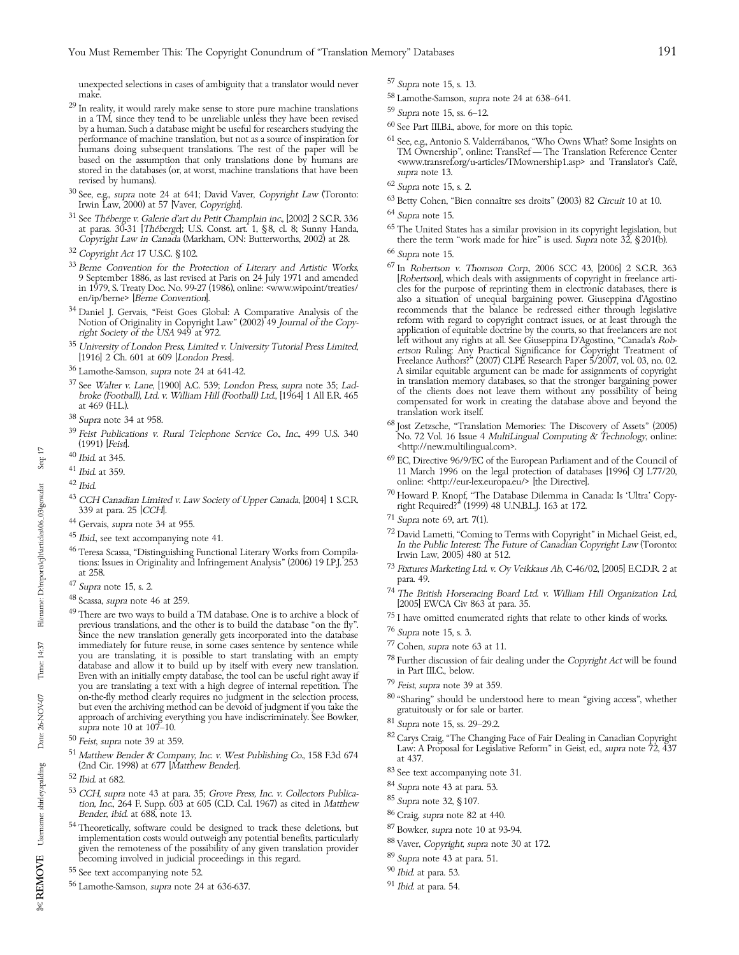unexpected selections in cases of ambiguity that a translator would never  $\frac{57}{28}$  Supra note 15, s. 13. make.

- <sup>29</sup> In reality, it would rarely make sense to store pure machine translations<br>in a TM, since they tend to be unreliable unless they have been revised<br>by a human. Such a database might be useful for researchers studying t performance of machine translation, but not as a source of inspiration for the see, e.g., Antonio S. Valderrábanos, "Who Owns What? Some Insights on humans doing subsequent translations. The rest of the paper will be the c stored in the databases (or, at worst, machine translations that have been<br>revised by humans).<br><sup>30</sup> See, e.g., *supra* note 24 at 641; David Vaver, *Copyright Law* (Toronto:<br>Irwin Law, 2000) at 57 [Vaver, *Copyright*].<br><sup>31</sup>
- 
- <sup>31</sup> See *Théberge v. Galerie d'art du Petit Champlain inc.*, [2002] 2 S.C.R. 336 at paras.  $30-31$  [*Théberge*]; U.S. Const. art. 1, §8, cl. 8; Sunny Handa, *Copyright Law in Canada* (Markham, ON: Butterworths, 2002) at at paras. 30-31 [Théberge]; U.S. Const. art. 1, §8, cl. 8; Sunny Handa, the United States has a similar provision in its copyright legislation, but Copyright Law in Canada (Markham, ON: Butterworths, 2002) at 28. there the term "work made for hire" is used. Supra note 32, §201(b).
- 
- <sup>32</sup> Copyright Act 17 U.S.C. §102. <sup>66</sup> Supra note 15.<br><sup>33</sup> Berne Convention for the Protection of Literary and Artistic Works, <sup>67</sup> In Robertson
- 
- 
- 
- 
- 
- 
- 
- 
- 

Seq:  $17$ 

- <sup>42</sup> Ibid.<br>
<sup>42</sup> Ibid.<br>
<sup>42</sup> Ibid. CCH Canadian Limited v. Law Society of Upper Canada, [2004] 1 S.C.R.<br>
<sup>43</sup> CCH Canadian Limited v. Law Society of Upper Canada, [2004] 1 S.C.R.<br>
<sup>70</sup> Howard P. Knopf, "The Database Dilemm
- 
- 
- 
- 
- 
- <sup>45</sup> Ibid, see text accompanying note 41.<br>
<sup>46</sup> Teresa Scassa, "Distinguishing Functional Literary Works from Compila-<br>
<sup>46</sup> Teresa Scassa, "Distinguishing Functional Literary Works from Compila-<br>
tions: Issues in Origina immediately for future reuse, in some cases sentence by sentence while you are translating, it is possible to start translating with an empty you are translating, it is possible to start translating with an empty<br>database and allow it to build up by itself with every new translation.<br>
For with an initially empty atabase and allow it to build up by itself with ev on-the-fly method clearly requires no judgment in the selection process,<br>but even the archiving method can be devoid of judgment if you take the<br>approach of archiving everything you have indiscriminately. See Bowker,<br>supra
- 
- 
- 
- 
- <sup>54</sup> Theoretically, software could be designed to track these deletions, but  $\frac{87}{8}$  Bowker, supra note 10 at 93-94.<br>implementation costs would outweigh any potential benefits, particularly  $\frac{88}{8}$  Vaver Convright s mplementation costs would outweigh any potential behievits, particularly<br>given the remoteness of the possibility of any given translation provider<br>becoming involved in judicial proceedings in this regard.  $^{89}$  Supra note
- $^{55}$  See text accompanying note 52.  $\hspace{1cm}^{90}$  Ibid. at para. 53.
- $56$  Lamothe-Samson, supra note 24 at 636-637.  $91$  Ibid. at para. 54.
- 
- $58$  Lamothe-Samson, supra note 24 at 638–641.
- 
- 
- 
- 
- 
- 
- 
- 
- $^{33}$  Berne Convention for the Protection of Literary and Artistic Works,  $^{67}$  In Robertson v. Thomson Corp., 2006 SCC 43, [2006] 2 S.C.R. 363 9 September 1886, as last revised at Paris on 24 July 1971 and amended [Robertson], which deals with assignments of copyright in freelance arti-Ein the contention of the contention of the purpose of the purpose of the purpose of copyright in freelance arti-<br>in 1979, S. Treaty Doc. No. 99-27 (1986), online: «www.wipo.int/treaties/<br>els for the purpose of reprinting en en invention de la situation of unequal bargaining power. Giuseppina d'Agostino recommends that the balance be redressed either through legislative <sup>34</sup> Daniel J. Gervais, "Feist Goes Global: A Comparative Analysis of the recommends that the balance be redressed either through legislative Notion of Originality in Copyright Law" (2002) 49 Journal of the Copyright serve mant Society of the USA 949 at 972.<br>
<sup>36</sup> University of London Press, Limited v. University Tutorial Press Limited,<br>
<sup>35</sup> University of London Press, Limited v. University Tutorial Press Limited,<br>
<sup>36</sup> University of London <sup>36</sup> Lamothe-Samson, *supra* note 24 at 641-42.<br><sup>37</sup> See Walter v. Lane, [1900] A.C. 539; London Press, *supra* note 35; Lading time translation memory databases, so that the stronger bargaining power<br>*broke (Football) Ltd*
- broke (Football), Ltd. v. William Hill (Football) Ltd., [1964] 1 All ER 465<br>
38 Supra note 34 at 958.<br>
39 Supra note 34 at 958.<br>
39 Supra note 34 at 958.<br>
39 Feist Publications v. Rural Telephone Service Co., Inc., 499 U.S
- 11 March 1996 on the legal protection of databases [1996] OJ L77/20, <sup>41</sup> Ibid. at 359. 42 Ibid. Chity://eur-lex.europa.eu/> [the Directive].
	-
	-
	-
	-
	-
	-
	-
	-
	-
	-
	-
	-
- <sup>50</sup> Feist, supra note 39 at 359.<br>
<sup>51</sup> Matthew Bender & Company, Inc. v. West Publishing Co., 158 F.3d 674<br>
<sup>51</sup> Matthew Bender & Company, Inc. v. West Publishing Co., 158 F.3d 674<br>
<sup>52</sup> Ibid. at 682.<br>
<sup>52</sup> CCH, supra no
	-
	-
	-
	- 86 Craig, supra note 82 at 440.
	-
	-
	-
	-
	-